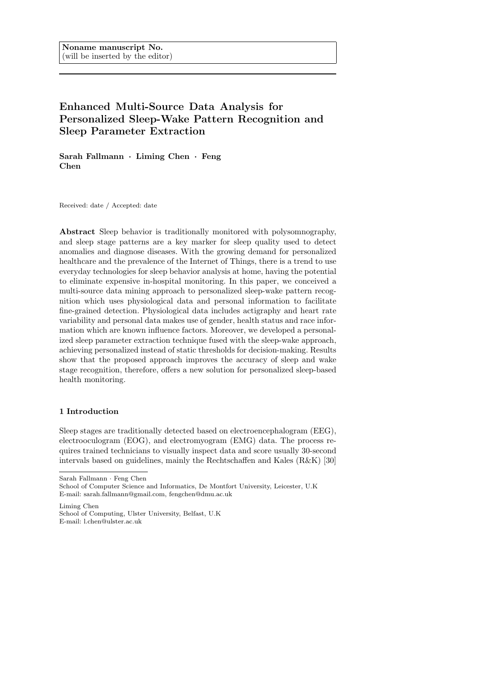# Enhanced Multi-Source Data Analysis for Personalized Sleep-Wake Pattern Recognition and Sleep Parameter Extraction

Sarah Fallmann · Liming Chen · Feng Chen

Received: date / Accepted: date

Abstract Sleep behavior is traditionally monitored with polysomnography, and sleep stage patterns are a key marker for sleep quality used to detect anomalies and diagnose diseases. With the growing demand for personalized healthcare and the prevalence of the Internet of Things, there is a trend to use everyday technologies for sleep behavior analysis at home, having the potential to eliminate expensive in-hospital monitoring. In this paper, we conceived a multi-source data mining approach to personalized sleep-wake pattern recognition which uses physiological data and personal information to facilitate fine-grained detection. Physiological data includes actigraphy and heart rate variability and personal data makes use of gender, health status and race information which are known influence factors. Moreover, we developed a personalized sleep parameter extraction technique fused with the sleep-wake approach, achieving personalized instead of static thresholds for decision-making. Results show that the proposed approach improves the accuracy of sleep and wake stage recognition, therefore, offers a new solution for personalized sleep-based health monitoring.

# 1 Introduction

Sleep stages are traditionally detected based on electroencephalogram (EEG), electrooculogram (EOG), and electromyogram (EMG) data. The process requires trained technicians to visually inspect data and score usually 30-second intervals based on guidelines, mainly the Rechtschaffen and Kales (R&K) [30]

Sarah Fallmann · Feng Chen

Liming Chen School of Computing, Ulster University, Belfast, U.K E-mail: l.chen@ulster.ac.uk

School of Computer Science and Informatics, De Montfort University, Leicester, U.K E-mail: sarah.fallmann@gmail.com, fengchen@dmu.ac.uk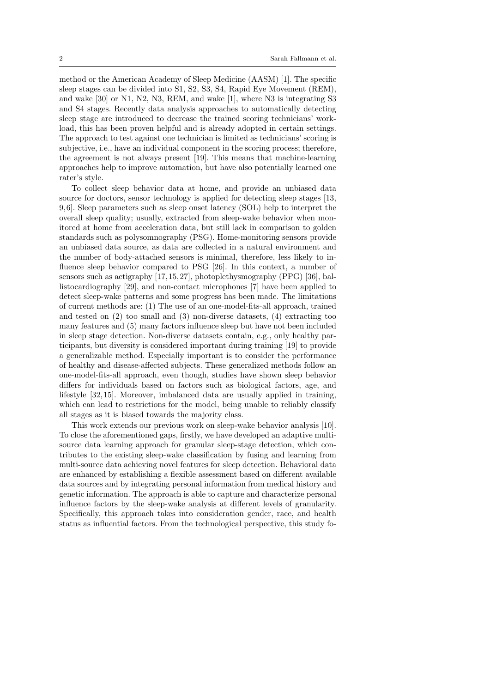method or the American Academy of Sleep Medicine (AASM) [1]. The specific sleep stages can be divided into S1, S2, S3, S4, Rapid Eye Movement (REM), and wake [30] or N1, N2, N3, REM, and wake [1], where N3 is integrating S3 and S4 stages. Recently data analysis approaches to automatically detecting sleep stage are introduced to decrease the trained scoring technicians' workload, this has been proven helpful and is already adopted in certain settings. The approach to test against one technician is limited as technicians' scoring is subjective, i.e., have an individual component in the scoring process; therefore, the agreement is not always present [19]. This means that machine-learning approaches help to improve automation, but have also potentially learned one rater's style.

To collect sleep behavior data at home, and provide an unbiased data source for doctors, sensor technology is applied for detecting sleep stages [13, 9, 6]. Sleep parameters such as sleep onset latency (SOL) help to interpret the overall sleep quality; usually, extracted from sleep-wake behavior when monitored at home from acceleration data, but still lack in comparison to golden standards such as polysomnography (PSG). Home-monitoring sensors provide an unbiased data source, as data are collected in a natural environment and the number of body-attached sensors is minimal, therefore, less likely to influence sleep behavior compared to PSG [26]. In this context, a number of sensors such as actigraphy [17, 15, 27], photoplethysmography (PPG) [36], ballistocardiography [29], and non-contact microphones [7] have been applied to detect sleep-wake patterns and some progress has been made. The limitations of current methods are: (1) The use of an one-model-fits-all approach, trained and tested on (2) too small and (3) non-diverse datasets, (4) extracting too many features and (5) many factors influence sleep but have not been included in sleep stage detection. Non-diverse datasets contain, e.g., only healthy participants, but diversity is considered important during training [19] to provide a generalizable method. Especially important is to consider the performance of healthy and disease-affected subjects. These generalized methods follow an one-model-fits-all approach, even though, studies have shown sleep behavior differs for individuals based on factors such as biological factors, age, and lifestyle [32, 15]. Moreover, imbalanced data are usually applied in training, which can lead to restrictions for the model, being unable to reliably classify all stages as it is biased towards the majority class.

This work extends our previous work on sleep-wake behavior analysis [10]. To close the aforementioned gaps, firstly, we have developed an adaptive multisource data learning approach for granular sleep-stage detection, which contributes to the existing sleep-wake classification by fusing and learning from multi-source data achieving novel features for sleep detection. Behavioral data are enhanced by establishing a flexible assessment based on different available data sources and by integrating personal information from medical history and genetic information. The approach is able to capture and characterize personal influence factors by the sleep-wake analysis at different levels of granularity. Specifically, this approach takes into consideration gender, race, and health status as influential factors. From the technological perspective, this study fo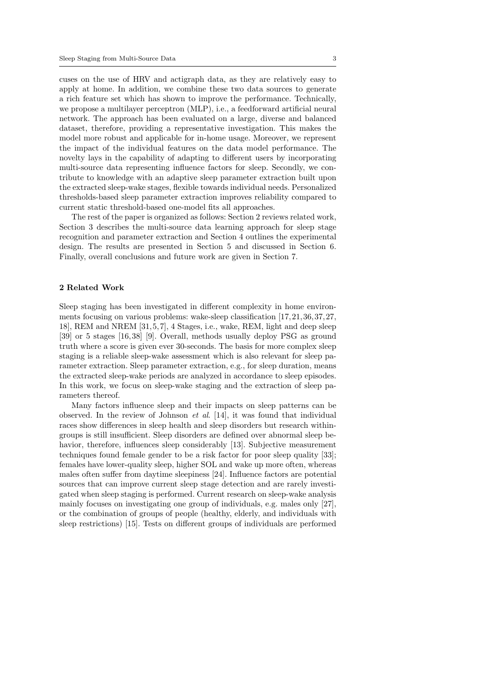cuses on the use of HRV and actigraph data, as they are relatively easy to apply at home. In addition, we combine these two data sources to generate a rich feature set which has shown to improve the performance. Technically, we propose a multilayer perceptron (MLP), i.e., a feedforward artificial neural network. The approach has been evaluated on a large, diverse and balanced dataset, therefore, providing a representative investigation. This makes the model more robust and applicable for in-home usage. Moreover, we represent the impact of the individual features on the data model performance. The novelty lays in the capability of adapting to different users by incorporating multi-source data representing influence factors for sleep. Secondly, we contribute to knowledge with an adaptive sleep parameter extraction built upon the extracted sleep-wake stages, flexible towards individual needs. Personalized thresholds-based sleep parameter extraction improves reliability compared to current static threshold-based one-model fits all approaches.

The rest of the paper is organized as follows: Section 2 reviews related work, Section 3 describes the multi-source data learning approach for sleep stage recognition and parameter extraction and Section 4 outlines the experimental design. The results are presented in Section 5 and discussed in Section 6. Finally, overall conclusions and future work are given in Section 7.

# 2 Related Work

Sleep staging has been investigated in different complexity in home environments focusing on various problems: wake-sleep classification [17, 21, 36, 37, 27, 18], REM and NREM [31, 5, 7], 4 Stages, i.e., wake, REM, light and deep sleep [39] or 5 stages [16, 38] [9]. Overall, methods usually deploy PSG as ground truth where a score is given ever 30-seconds. The basis for more complex sleep staging is a reliable sleep-wake assessment which is also relevant for sleep parameter extraction. Sleep parameter extraction, e.g., for sleep duration, means the extracted sleep-wake periods are analyzed in accordance to sleep episodes. In this work, we focus on sleep-wake staging and the extraction of sleep parameters thereof.

Many factors influence sleep and their impacts on sleep patterns can be observed. In the review of Johnson *et al.* [14], it was found that individual races show differences in sleep health and sleep disorders but research withingroups is still insufficient. Sleep disorders are defined over abnormal sleep behavior, therefore, influences sleep considerably [13]. Subjective measurement techniques found female gender to be a risk factor for poor sleep quality [33]; females have lower-quality sleep, higher SOL and wake up more often, whereas males often suffer from daytime sleepiness [24]. Influence factors are potential sources that can improve current sleep stage detection and are rarely investigated when sleep staging is performed. Current research on sleep-wake analysis mainly focuses on investigating one group of individuals, e.g. males only [27], or the combination of groups of people (healthy, elderly, and individuals with sleep restrictions) [15]. Tests on different groups of individuals are performed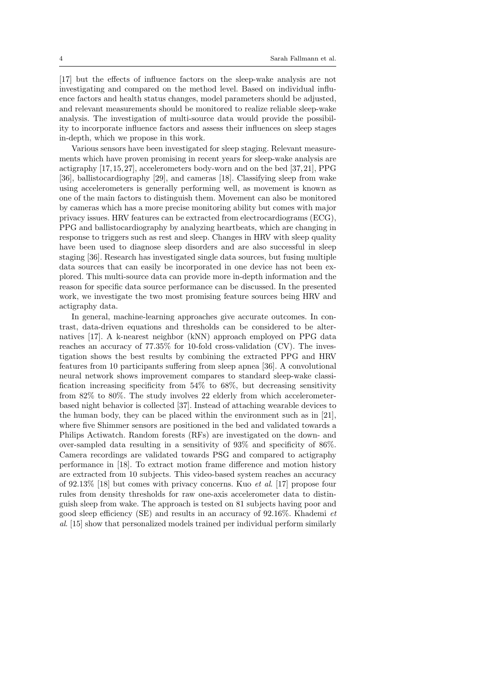[17] but the effects of influence factors on the sleep-wake analysis are not investigating and compared on the method level. Based on individual influence factors and health status changes, model parameters should be adjusted, and relevant measurements should be monitored to realize reliable sleep-wake analysis. The investigation of multi-source data would provide the possibility to incorporate influence factors and assess their influences on sleep stages in-depth, which we propose in this work.

Various sensors have been investigated for sleep staging. Relevant measurements which have proven promising in recent years for sleep-wake analysis are actigraphy [17, 15, 27], accelerometers body-worn and on the bed [37, 21], PPG [36], ballistocardiography [29], and cameras [18]. Classifying sleep from wake using accelerometers is generally performing well, as movement is known as one of the main factors to distinguish them. Movement can also be monitored by cameras which has a more precise monitoring ability but comes with major privacy issues. HRV features can be extracted from electrocardiograms (ECG), PPG and ballistocardiography by analyzing heartbeats, which are changing in response to triggers such as rest and sleep. Changes in HRV with sleep quality have been used to diagnose sleep disorders and are also successful in sleep staging [36]. Research has investigated single data sources, but fusing multiple data sources that can easily be incorporated in one device has not been explored. This multi-source data can provide more in-depth information and the reason for specific data source performance can be discussed. In the presented work, we investigate the two most promising feature sources being HRV and actigraphy data.

In general, machine-learning approaches give accurate outcomes. In contrast, data-driven equations and thresholds can be considered to be alternatives [17]. A k-nearest neighbor (kNN) approach employed on PPG data reaches an accuracy of 77.35% for 10-fold cross-validation (CV). The investigation shows the best results by combining the extracted PPG and HRV features from 10 participants suffering from sleep apnea [36]. A convolutional neural network shows improvement compares to standard sleep-wake classification increasing specificity from 54% to 68%, but decreasing sensitivity from 82% to 80%. The study involves 22 elderly from which accelerometerbased night behavior is collected [37]. Instead of attaching wearable devices to the human body, they can be placed within the environment such as in [21], where five Shimmer sensors are positioned in the bed and validated towards a Philips Actiwatch. Random forests (RFs) are investigated on the down- and over-sampled data resulting in a sensitivity of 93% and specificity of 86%. Camera recordings are validated towards PSG and compared to actigraphy performance in [18]. To extract motion frame difference and motion history are extracted from 10 subjects. This video-based system reaches an accuracy of 92.13% [18] but comes with privacy concerns. Kuo et al. [17] propose four rules from density thresholds for raw one-axis accelerometer data to distinguish sleep from wake. The approach is tested on 81 subjects having poor and good sleep efficiency (SE) and results in an accuracy of  $92.16\%$ . Khademi et al. [15] show that personalized models trained per individual perform similarly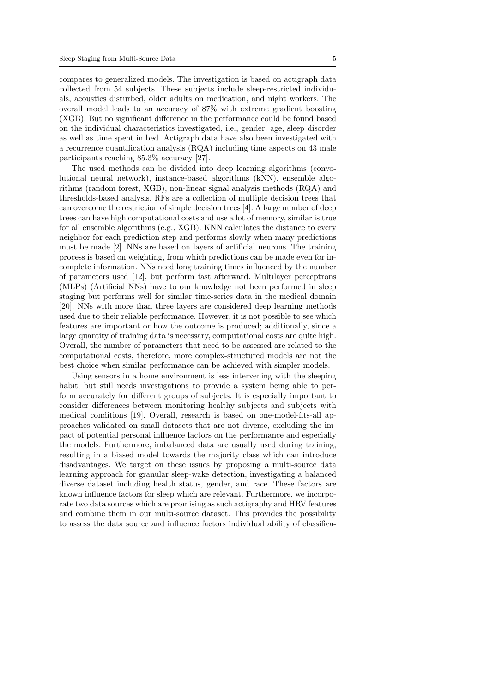compares to generalized models. The investigation is based on actigraph data collected from 54 subjects. These subjects include sleep-restricted individuals, acoustics disturbed, older adults on medication, and night workers. The overall model leads to an accuracy of 87% with extreme gradient boosting (XGB). But no significant difference in the performance could be found based on the individual characteristics investigated, i.e., gender, age, sleep disorder as well as time spent in bed. Actigraph data have also been investigated with a recurrence quantification analysis (RQA) including time aspects on 43 male participants reaching 85.3% accuracy [27].

The used methods can be divided into deep learning algorithms (convolutional neural network), instance-based algorithms (kNN), ensemble algorithms (random forest, XGB), non-linear signal analysis methods (RQA) and thresholds-based analysis. RFs are a collection of multiple decision trees that can overcome the restriction of simple decision trees [4]. A large number of deep trees can have high computational costs and use a lot of memory, similar is true for all ensemble algorithms (e.g., XGB). KNN calculates the distance to every neighbor for each prediction step and performs slowly when many predictions must be made [2]. NNs are based on layers of artificial neurons. The training process is based on weighting, from which predictions can be made even for incomplete information. NNs need long training times influenced by the number of parameters used [12], but perform fast afterward. Multilayer perceptrons (MLPs) (Artificial NNs) have to our knowledge not been performed in sleep staging but performs well for similar time-series data in the medical domain [20]. NNs with more than three layers are considered deep learning methods used due to their reliable performance. However, it is not possible to see which features are important or how the outcome is produced; additionally, since a large quantity of training data is necessary, computational costs are quite high. Overall, the number of parameters that need to be assessed are related to the computational costs, therefore, more complex-structured models are not the best choice when similar performance can be achieved with simpler models.

Using sensors in a home environment is less intervening with the sleeping habit, but still needs investigations to provide a system being able to perform accurately for different groups of subjects. It is especially important to consider differences between monitoring healthy subjects and subjects with medical conditions [19]. Overall, research is based on one-model-fits-all approaches validated on small datasets that are not diverse, excluding the impact of potential personal influence factors on the performance and especially the models. Furthermore, imbalanced data are usually used during training, resulting in a biased model towards the majority class which can introduce disadvantages. We target on these issues by proposing a multi-source data learning approach for granular sleep-wake detection, investigating a balanced diverse dataset including health status, gender, and race. These factors are known influence factors for sleep which are relevant. Furthermore, we incorporate two data sources which are promising as such actigraphy and HRV features and combine them in our multi-source dataset. This provides the possibility to assess the data source and influence factors individual ability of classifica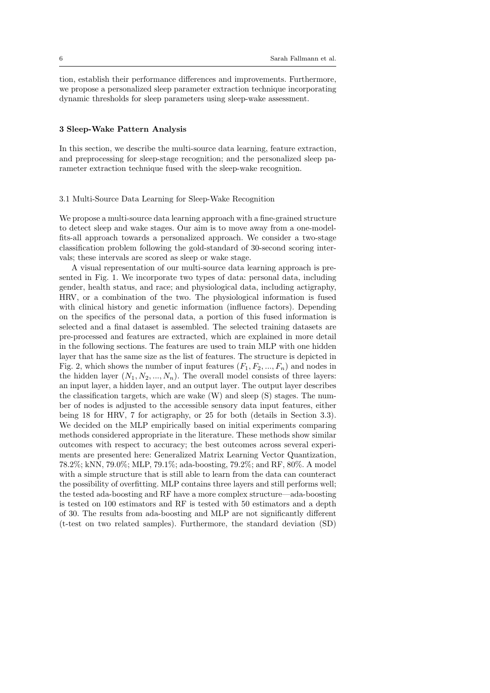tion, establish their performance differences and improvements. Furthermore, we propose a personalized sleep parameter extraction technique incorporating dynamic thresholds for sleep parameters using sleep-wake assessment.

# 3 Sleep-Wake Pattern Analysis

In this section, we describe the multi-source data learning, feature extraction, and preprocessing for sleep-stage recognition; and the personalized sleep parameter extraction technique fused with the sleep-wake recognition.

# 3.1 Multi-Source Data Learning for Sleep-Wake Recognition

We propose a multi-source data learning approach with a fine-grained structure to detect sleep and wake stages. Our aim is to move away from a one-modelfits-all approach towards a personalized approach. We consider a two-stage classification problem following the gold-standard of 30-second scoring intervals; these intervals are scored as sleep or wake stage.

A visual representation of our multi-source data learning approach is presented in Fig. 1. We incorporate two types of data: personal data, including gender, health status, and race; and physiological data, including actigraphy, HRV, or a combination of the two. The physiological information is fused with clinical history and genetic information (influence factors). Depending on the specifics of the personal data, a portion of this fused information is selected and a final dataset is assembled. The selected training datasets are pre-processed and features are extracted, which are explained in more detail in the following sections. The features are used to train MLP with one hidden layer that has the same size as the list of features. The structure is depicted in Fig. 2, which shows the number of input features  $(F_1, F_2, ..., F_n)$  and nodes in the hidden layer  $(N_1, N_2, ..., N_n)$ . The overall model consists of three layers: an input layer, a hidden layer, and an output layer. The output layer describes the classification targets, which are wake (W) and sleep (S) stages. The number of nodes is adjusted to the accessible sensory data input features, either being 18 for HRV, 7 for actigraphy, or 25 for both (details in Section 3.3). We decided on the MLP empirically based on initial experiments comparing methods considered appropriate in the literature. These methods show similar outcomes with respect to accuracy; the best outcomes across several experiments are presented here: Generalized Matrix Learning Vector Quantization, 78.2%; kNN, 79.0%; MLP, 79.1%; ada-boosting, 79.2%; and RF, 80%. A model with a simple structure that is still able to learn from the data can counteract the possibility of overfitting. MLP contains three layers and still performs well; the tested ada-boosting and RF have a more complex structure—ada-boosting is tested on 100 estimators and RF is tested with 50 estimators and a depth of 30. The results from ada-boosting and MLP are not significantly different (t-test on two related samples). Furthermore, the standard deviation (SD)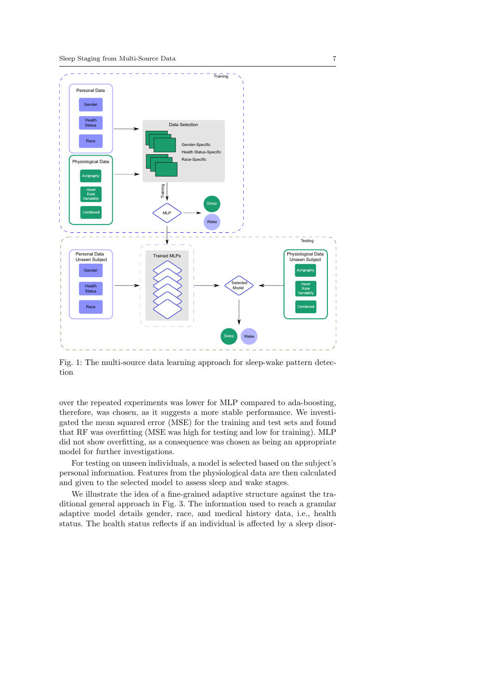

Fig. 1: The multi-source data learning approach for sleep-wake pattern detection

over the repeated experiments was lower for MLP compared to ada-boosting, therefore, was chosen, as it suggests a more stable performance. We investigated the mean squared error (MSE) for the training and test sets and found that RF was overfitting (MSE was high for testing and low for training). MLP did not show overfitting, as a consequence was chosen as being an appropriate model for further investigations.

For testing on unseen individuals, a model is selected based on the subject's personal information. Features from the physiological data are then calculated and given to the selected model to assess sleep and wake stages.

We illustrate the idea of a fine-grained adaptive structure against the traditional general approach in Fig. 3. The information used to reach a granular adaptive model details gender, race, and medical history data, i.e., health status. The health status reflects if an individual is affected by a sleep disor-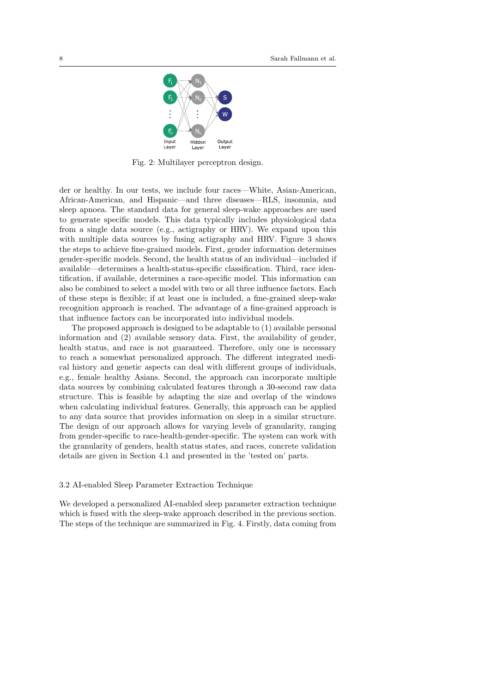

Fig. 2: Multilayer perceptron design.

der or healthy. In our tests, we include four races—White, Asian-American, African-American, and Hispanic—and three diseases—RLS, insomnia, and sleep apnoea. The standard data for general sleep-wake approaches are used to generate specific models. This data typically includes physiological data from a single data source (e.g., actigraphy or HRV). We expand upon this with multiple data sources by fusing actigraphy and HRV. Figure 3 shows the steps to achieve fine-grained models. First, gender information determines gender-specific models. Second, the health status of an individual—included if available—determines a health-status-specific classification. Third, race identification, if available, determines a race-specific model. This information can also be combined to select a model with two or all three influence factors. Each of these steps is flexible; if at least one is included, a fine-grained sleep-wake recognition approach is reached. The advantage of a fine-grained approach is that influence factors can be incorporated into individual models.

The proposed approach is designed to be adaptable to (1) available personal information and (2) available sensory data. First, the availability of gender, health status, and race is not guaranteed. Therefore, only one is necessary to reach a somewhat personalized approach. The different integrated medical history and genetic aspects can deal with different groups of individuals, e.g., female healthy Asians. Second, the approach can incorporate multiple data sources by combining calculated features through a 30-second raw data structure. This is feasible by adapting the size and overlap of the windows when calculating individual features. Generally, this approach can be applied to any data source that provides information on sleep in a similar structure. The design of our approach allows for varying levels of granularity, ranging from gender-specific to race-health-gender-specific. The system can work with the granularity of genders, health status states, and races, concrete validation details are given in Section 4.1 and presented in the 'tested on' parts.

### 3.2 AI-enabled Sleep Parameter Extraction Technique

We developed a personalized AI-enabled sleep parameter extraction technique which is fused with the sleep-wake approach described in the previous section. The steps of the technique are summarized in Fig. 4. Firstly, data coming from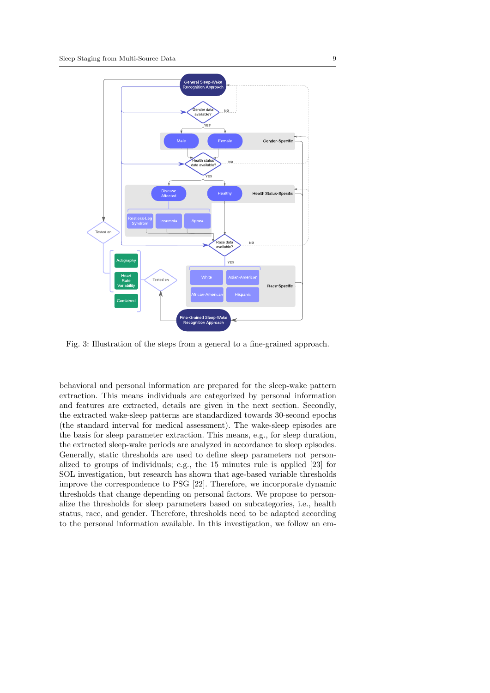

Fig. 3: Illustration of the steps from a general to a fine-grained approach.

behavioral and personal information are prepared for the sleep-wake pattern extraction. This means individuals are categorized by personal information and features are extracted, details are given in the next section. Secondly, the extracted wake-sleep patterns are standardized towards 30-second epochs (the standard interval for medical assessment). The wake-sleep episodes are the basis for sleep parameter extraction. This means, e.g., for sleep duration, the extracted sleep-wake periods are analyzed in accordance to sleep episodes. Generally, static thresholds are used to define sleep parameters not personalized to groups of individuals; e.g., the 15 minutes rule is applied [23] for SOL investigation, but research has shown that age-based variable thresholds improve the correspondence to PSG [22]. Therefore, we incorporate dynamic thresholds that change depending on personal factors. We propose to personalize the thresholds for sleep parameters based on subcategories, i.e., health status, race, and gender. Therefore, thresholds need to be adapted according to the personal information available. In this investigation, we follow an em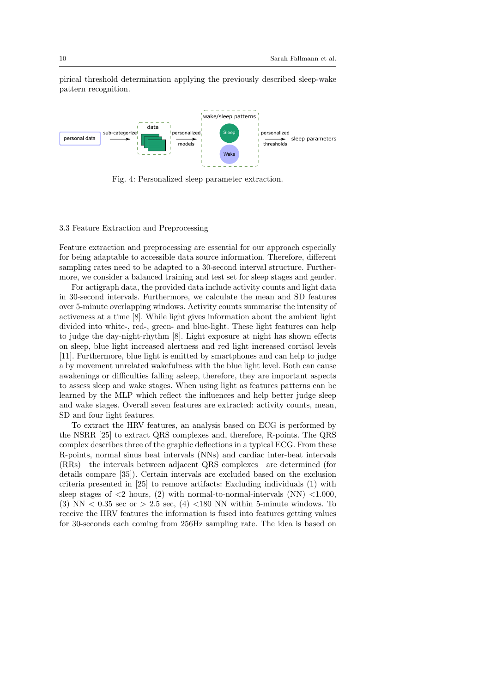pirical threshold determination applying the previously described sleep-wake pattern recognition.



Fig. 4: Personalized sleep parameter extraction.

# 3.3 Feature Extraction and Preprocessing

Feature extraction and preprocessing are essential for our approach especially for being adaptable to accessible data source information. Therefore, different sampling rates need to be adapted to a 30-second interval structure. Furthermore, we consider a balanced training and test set for sleep stages and gender.

For actigraph data, the provided data include activity counts and light data in 30-second intervals. Furthermore, we calculate the mean and SD features over 5-minute overlapping windows. Activity counts summarise the intensity of activeness at a time [8]. While light gives information about the ambient light divided into white-, red-, green- and blue-light. These light features can help to judge the day-night-rhythm [8]. Light exposure at night has shown effects on sleep, blue light increased alertness and red light increased cortisol levels [11]. Furthermore, blue light is emitted by smartphones and can help to judge a by movement unrelated wakefulness with the blue light level. Both can cause awakenings or difficulties falling asleep, therefore, they are important aspects to assess sleep and wake stages. When using light as features patterns can be learned by the MLP which reflect the influences and help better judge sleep and wake stages. Overall seven features are extracted: activity counts, mean, SD and four light features.

To extract the HRV features, an analysis based on ECG is performed by the NSRR [25] to extract QRS complexes and, therefore, R-points. The QRS complex describes three of the graphic deflections in a typical ECG. From these R-points, normal sinus beat intervals (NNs) and cardiac inter-beat intervals (RRs)—the intervals between adjacent QRS complexes—are determined (for details compare [35]). Certain intervals are excluded based on the exclusion criteria presented in [25] to remove artifacts: Excluding individuals (1) with sleep stages of  $\langle 2 \rangle$  hours, (2) with normal-to-normal-intervals (NN)  $\langle 1.000 \rangle$ , (3) NN  $< 0.35$  sec or  $> 2.5$  sec, (4)  $< 180$  NN within 5-minute windows. To receive the HRV features the information is fused into features getting values for 30-seconds each coming from 256Hz sampling rate. The idea is based on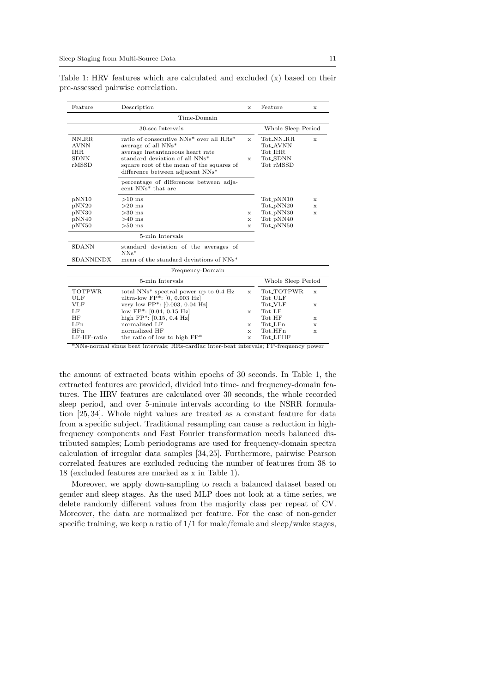| Feature                                                    | Description                                                                                                                                                                                                                                   | X                            | Feature                                                                   | x           |  |
|------------------------------------------------------------|-----------------------------------------------------------------------------------------------------------------------------------------------------------------------------------------------------------------------------------------------|------------------------------|---------------------------------------------------------------------------|-------------|--|
|                                                            | Time-Domain                                                                                                                                                                                                                                   |                              |                                                                           |             |  |
|                                                            | 30-sec Intervals<br>Whole Sleep Period                                                                                                                                                                                                        |                              |                                                                           |             |  |
| NN_RR<br><b>AVNN</b><br><b>IHR</b><br><b>SDNN</b><br>rMSSD | ratio of consecutive NNs <sup>*</sup> over all RRs <sup>*</sup><br>average of all NNs*<br>average instantaneous heart rate<br>standard deviation of all NNs*<br>square root of the mean of the squares of<br>difference between adjacent NNs* | $\mathbf{x}$<br>$\mathbf{x}$ | Tot_NN_RR<br>Tot_AVNN<br>Tot_IHR<br>Tot_SDNN<br>Tot_rMSSD                 | x           |  |
|                                                            | percentage of differences between adja-<br>cent NNs* that are                                                                                                                                                                                 |                              |                                                                           |             |  |
| pNN10<br>pNN20<br>pNN30<br>pNN40<br>pNN50                  | $>10$ ms<br>$>20$ ms<br>$>30$ ms<br>$>40$ ms<br>$>50$ ms                                                                                                                                                                                      | x<br>x<br>x                  | Tot_pNN10<br>Tot_pNN20<br>Tot_pNN30<br>Tot_pNN40<br>Tot <sub>-PNN50</sub> | x<br>x<br>x |  |
|                                                            | 5-min Intervals                                                                                                                                                                                                                               |                              |                                                                           |             |  |
| <b>SDANN</b><br><b>SDANNINDX</b>                           | standard deviation of the averages of<br>$NNs*$<br>mean of the standard deviations of NNs <sup>*</sup>                                                                                                                                        |                              |                                                                           |             |  |
|                                                            | Frequency-Domain                                                                                                                                                                                                                              |                              |                                                                           |             |  |
|                                                            | 5-min Intervals                                                                                                                                                                                                                               |                              | Whole Sleep Period                                                        |             |  |
| <b>TOTPWR</b><br><b>ULF</b><br>VLF                         | total NNs <sup>*</sup> spectral power up to 0.4 Hz<br>ultra-low $FP^*$ : [0, 0.003 Hz]<br>very low FP <sup>*</sup> : [0.003, 0.04 Hz]                                                                                                         | $\mathbf{x}$                 | Tot_TOTPWR<br>Tot_ULF<br>Tot_VLF                                          | x<br>x      |  |
| LF<br><b>HF</b><br>LFn                                     | low $FP^*$ : [0.04, 0.15 Hz]<br>high $FP^*$ : [0.15, 0.4 Hz]<br>normalized LF                                                                                                                                                                 | x<br>x                       | $Tot_LIF$<br>$Tot_I$<br>$Tot_LFn$                                         | x<br>x      |  |
| HFn<br>LF-HF-ratio                                         | normalized HF<br>the ratio of low to high $FP*$                                                                                                                                                                                               | x<br>x                       | $Tot_I$<br>Tot_LFHF                                                       | x           |  |

Table 1: HRV features which are calculated and excluded (x) based on their pre-assessed pairwise correlation.

\*NNs-normal sinus beat intervals; RRs-cardiac inter-beat intervals; FP-frequency power

the amount of extracted beats within epochs of 30 seconds. In Table 1, the extracted features are provided, divided into time- and frequency-domain features. The HRV features are calculated over 30 seconds, the whole recorded sleep period, and over 5-minute intervals according to the NSRR formulation [25, 34]. Whole night values are treated as a constant feature for data from a specific subject. Traditional resampling can cause a reduction in highfrequency components and Fast Fourier transformation needs balanced distributed samples; Lomb periodograms are used for frequency-domain spectra calculation of irregular data samples [34, 25]. Furthermore, pairwise Pearson correlated features are excluded reducing the number of features from 38 to 18 (excluded features are marked as x in Table 1).

Moreover, we apply down-sampling to reach a balanced dataset based on gender and sleep stages. As the used MLP does not look at a time series, we delete randomly different values from the majority class per repeat of CV. Moreover, the data are normalized per feature. For the case of non-gender specific training, we keep a ratio of  $1/1$  for male/female and sleep/wake stages,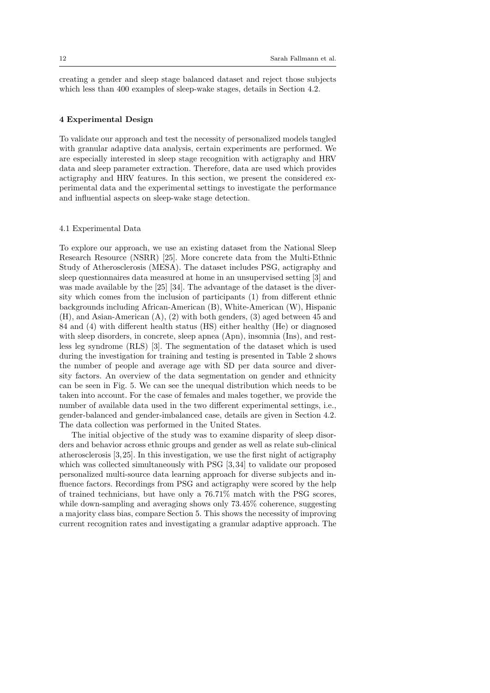creating a gender and sleep stage balanced dataset and reject those subjects which less than 400 examples of sleep-wake stages, details in Section 4.2.

### 4 Experimental Design

To validate our approach and test the necessity of personalized models tangled with granular adaptive data analysis, certain experiments are performed. We are especially interested in sleep stage recognition with actigraphy and HRV data and sleep parameter extraction. Therefore, data are used which provides actigraphy and HRV features. In this section, we present the considered experimental data and the experimental settings to investigate the performance and influential aspects on sleep-wake stage detection.

# 4.1 Experimental Data

To explore our approach, we use an existing dataset from the National Sleep Research Resource (NSRR) [25]. More concrete data from the Multi-Ethnic Study of Atherosclerosis (MESA). The dataset includes PSG, actigraphy and sleep questionnaires data measured at home in an unsupervised setting [3] and was made available by the [25] [34]. The advantage of the dataset is the diversity which comes from the inclusion of participants (1) from different ethnic backgrounds including African-American (B), White-American (W), Hispanic (H), and Asian-American (A), (2) with both genders, (3) aged between 45 and 84 and (4) with different health status (HS) either healthy (He) or diagnosed with sleep disorders, in concrete, sleep apnea (Apn), insomnia (Ins), and restless leg syndrome (RLS) [3]. The segmentation of the dataset which is used during the investigation for training and testing is presented in Table 2 shows the number of people and average age with SD per data source and diversity factors. An overview of the data segmentation on gender and ethnicity can be seen in Fig. 5. We can see the unequal distribution which needs to be taken into account. For the case of females and males together, we provide the number of available data used in the two different experimental settings, i.e., gender-balanced and gender-imbalanced case, details are given in Section 4.2. The data collection was performed in the United States.

The initial objective of the study was to examine disparity of sleep disorders and behavior across ethnic groups and gender as well as relate sub-clinical atherosclerosis [3, 25]. In this investigation, we use the first night of actigraphy which was collected simultaneously with PSG [3, 34] to validate our proposed personalized multi-source data learning approach for diverse subjects and influence factors. Recordings from PSG and actigraphy were scored by the help of trained technicians, but have only a 76.71% match with the PSG scores, while down-sampling and averaging shows only  $73.45\%$  coherence, suggesting a majority class bias, compare Section 5. This shows the necessity of improving current recognition rates and investigating a granular adaptive approach. The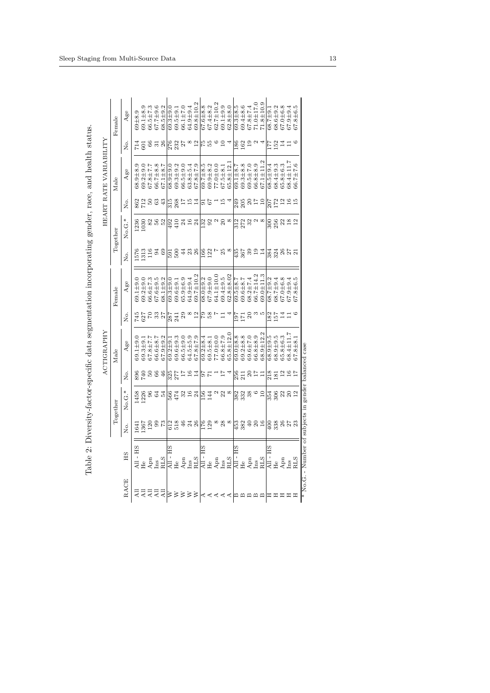|                                                                                                                                                                                                                                                                                                                                                                           |                                                                            |                 |              | ACTIGRAPHY     |                 |                 |                      |                                           |                   | HEART RATE VARIABILITY |                 |                 |
|---------------------------------------------------------------------------------------------------------------------------------------------------------------------------------------------------------------------------------------------------------------------------------------------------------------------------------------------------------------------------|----------------------------------------------------------------------------|-----------------|--------------|----------------|-----------------|-----------------|----------------------|-------------------------------------------|-------------------|------------------------|-----------------|-----------------|
|                                                                                                                                                                                                                                                                                                                                                                           |                                                                            | Together        |              | Male           |                 | Female          |                      | Together                                  |                   | Male                   |                 | Female          |
| НS<br>RACE                                                                                                                                                                                                                                                                                                                                                                | è,                                                                         | No.G.           | ρó           | Age            | Σó.             | Age             | ρó                   | No.G.                                     | è<br>R            | Age                    | ρó              | Age             |
| - HS<br>$\overline{a}$                                                                                                                                                                                                                                                                                                                                                    | 64                                                                         | 1458            | 896          | $69.1 \pm 9.$  |                 | $-9.1 \pm 9.0$  | 1576                 | 1236                                      |                   | $68.9 + 8.9$           |                 | $69 + 8.9$      |
|                                                                                                                                                                                                                                                                                                                                                                           | 367                                                                        | 1226            | 740          | $39.3 \pm 9.$  | 45<br>527<br>70 | $39.2 + 9.0$    | 1313                 | 030                                       | 862<br>712        | $39.2 + 9.0$           | 501             | 69.1±8.9        |
| Apn<br>$\frac{11}{441}$                                                                                                                                                                                                                                                                                                                                                   | $\frac{200}{73}$                                                           |                 | $50\,$       | $37.8 \pm 7.1$ |                 | $36.6 \pm 7.3$  | 116                  |                                           | 50                | 7.7±8.76               | $rac{66}{31}$   | $66.5 \pm 7.3$  |
| Ins<br>RLS                                                                                                                                                                                                                                                                                                                                                                |                                                                            | 9 4 4<br>9 9 4  | $66\,$       | $66.6 \pm 8.7$ | ೫               | $37.6 + 9.5$    | <b>34</b>            | 852                                       | 63                | 66.7±8.8               |                 | $67.7 \pm 9.6$  |
|                                                                                                                                                                                                                                                                                                                                                                           |                                                                            |                 | 46           | $67.9 + 9.2$   | 27              | $38.1 \pm 9.2$  |                      |                                           | 43                | $67.1 \pm 8.7$         | 26              | $68.5 + 9.2$    |
| ΗS<br>$\overline{a}$<br>≤≤≼≼∣                                                                                                                                                                                                                                                                                                                                             |                                                                            |                 | 325<br>277   | $39.2 \pm 9.$  | 287             | $39.3 \pm 9.0$  |                      | 492<br>410                                |                   | $38.9 + 9.0$           | 276<br>232      | $0.9 + 0.0$     |
| H <sub>e</sub>                                                                                                                                                                                                                                                                                                                                                            |                                                                            | 566<br>474      |              | $39.6 \pm 9.3$ | 241             | $39.6 \pm 9.1$  | $\frac{591}{500}$    |                                           | $\frac{315}{268}$ | $39.3 + 9.2$           |                 | $69.5 + 9.1$    |
| Apn                                                                                                                                                                                                                                                                                                                                                                       |                                                                            | $\frac{32}{16}$ | 11           | $66.5 + 9.0$   | 29              | $35.9 + 6.9$    |                      | $24$<br>$16$<br>$24$                      | $\overline{11}$   | $66.5 + 9.0$           | 27              | 66.1±7.0        |
| $\ln s$                                                                                                                                                                                                                                                                                                                                                                   |                                                                            |                 | $16\,$       | 64.5±5.9       | $^{\circ}$      | $64.9 + 9.4$    | 428                  |                                           | $15 \overline{4}$ | $63.8 + 5.4$           | $^{\circ}$      | $64.9 + 9.4$    |
| <b>RLS</b>                                                                                                                                                                                                                                                                                                                                                                |                                                                            | 24              | 14           | 6.7±8.76       | $^{12}$         | $39.7 \pm 10.2$ |                      |                                           |                   | 67.8±7.9               | 12              | $69.8 \pm 10.2$ |
| НS<br>$\overline{AB}$ -<br>∣∢ ∢                                                                                                                                                                                                                                                                                                                                           |                                                                            | <b>E56</b>      | $^{17}_{-6}$ | $39.2 \pm 8.4$ | ၉ အ             | $38.0 + 9.2$    | $\frac{66}{122}$     |                                           | $\frac{2}{16}$    | $39.7 + 8.5$           | 55              | $67.6 \pm 8.8$  |
| Ηe                                                                                                                                                                                                                                                                                                                                                                        |                                                                            | 144             |              | $69.5 + 8.1$   |                 | $0.67.9 + 0.7$  |                      |                                           |                   | $39.9 + 8.2$           |                 | 67.4±8.2        |
| Apn<br>₹                                                                                                                                                                                                                                                                                                                                                                  | $\begin{smallmatrix} \infty & \infty \\ \infty & \infty \end{smallmatrix}$ |                 |              | $77.0 + 0.0$   |                 | $34.1 \pm 10.0$ |                      | $\frac{2}{3}$ $\frac{2}{3}$ $\frac{2}{3}$ |                   | $77.0 + 0.0$           | $\circ$         | 62.7±10.2       |
| Ins                                                                                                                                                                                                                                                                                                                                                                       |                                                                            | 22              |              | 36.8±7.9       |                 | $69.4 \pm 9.5$  | 25                   | $20\,$                                    |                   | $67.5 + 8.1$           | $\overline{10}$ | $69.1 + 9.9$    |
| <b>RLS</b>                                                                                                                                                                                                                                                                                                                                                                |                                                                            | $^{\circ}$      |              | 65.8±12.0      |                 | $32.8 + 8.02$   | $\infty$             | $\infty$                                  |                   | $65.8 \pm 12$ .        |                 | $62.8 + 8.0$    |
| Ξ                                                                                                                                                                                                                                                                                                                                                                         | $\frac{453}{5}$                                                            | 382<br>332      | 256          | $39.0 + 8.8$   | 171<br>171      | $59.5 \pm 8.7$  |                      |                                           | 249               | $39.1 \pm 8.$          | 186             | $39.3 \pm 8.5$  |
| He                                                                                                                                                                                                                                                                                                                                                                        |                                                                            |                 | 211          | $39.2 \pm 8.8$ |                 | 69.6±8.7        | 435<br>367           | 32<br>27<br>33                            | 205               | $39.3 + 8.8$           | 162             | 69.4±8.6        |
| Apn                                                                                                                                                                                                                                                                                                                                                                       | $382$<br>$40$<br>$16$                                                      | 38              | $\Omega$     | 69.6±7.0       | ຊ               | $38.2 \pm 7.4$  | 321                  |                                           | $\Omega$          | 69.5±7.0               | 19              | 67.8±7.4        |
| lns                                                                                                                                                                                                                                                                                                                                                                       |                                                                            |                 | 71           | $6.8 + 8.9$    | S               | 56.7±14.2       |                      |                                           | $\overline{11}$   | 66.8±8.9               | $\mathfrak{a}$  | $71.0 \pm 17.0$ |
| <b>RLS</b><br>$\alpha$ $\alpha$   $\alpha$   $\alpha$   $\alpha$   $\alpha$   $\alpha$   $\alpha$   $\alpha$   $\alpha$   $\alpha$   $\alpha$   $\alpha$   $\alpha$   $\alpha$   $\alpha$   $\alpha$   $\alpha$   $\alpha$   $\alpha$   $\alpha$   $\alpha$   $\alpha$   $\alpha$   $\alpha$   $\alpha$   $\alpha$   $\alpha$   $\alpha$   $\alpha$   $\alpha$   $\alpha$ |                                                                            | $\overline{10}$ | Н            | 68.9±12.2      | S               | $39.0 + 11.3$   |                      |                                           | 10                | $67.1 \pm 11.2$        |                 | $71.8 \pm 10.9$ |
| All - HS                                                                                                                                                                                                                                                                                                                                                                  |                                                                            |                 | 218          | $68.9 + 9.5$   | 182<br>157      | 38.7±9.2        | 384<br>324           |                                           | 207<br>172        | $68.5 + 9.4$           | 177             | $68.7 \pm 9.1$  |
| H <sub>e</sub>                                                                                                                                                                                                                                                                                                                                                            |                                                                            | 354<br>306      | 181          | $68.9 + 9.5$   |                 | $68.7 \pm 9.4$  |                      | $\frac{300}{256}$                         |                   | 68.4±9.3               | 152             | $68.6 \pm 9.2$  |
| Apn<br><b>HHH</b>                                                                                                                                                                                                                                                                                                                                                         |                                                                            | $23$ $2$ $2$    | 116          | 65.8±6.3       | $\overline{14}$ | $67.0 + 6.8$    | $26$<br>$27$<br>$21$ | $^{22}_{18}$                              |                   | 65.8±6.3               | 14              | $67.0 + 6.8$    |
| Ins<br>RLS                                                                                                                                                                                                                                                                                                                                                                |                                                                            |                 |              | 68.4±11.       | 口               | $-9.9 + 9.4$    |                      |                                           | 16                | $38.4 \pm 11.7$        | $\Box$          | $67.9 + 9.4$    |
|                                                                                                                                                                                                                                                                                                                                                                           |                                                                            |                 |              | $67.8 \pm 8.1$ | $\circ$         | $67.8 + 6.5$    |                      | 12                                        | $\frac{15}{2}$    | 66.7±7.6               | G               | $67.8 + 6.5$    |

| うらい                                                                                                                                                                                                                                     |
|-----------------------------------------------------------------------------------------------------------------------------------------------------------------------------------------------------------------------------------------|
|                                                                                                                                                                                                                                         |
| ١                                                                                                                                                                                                                                       |
| ١<br>i                                                                                                                                                                                                                                  |
|                                                                                                                                                                                                                                         |
| - Content Content and Content Content Content Content Content Content Content Content Content Content Content Content Content Content Content Content Content Content Content Content Content Content Content Content Content<br>ì<br>j |
| こうこう こうこう<br>52525                                                                                                                                                                                                                      |
| く りょうこう ないこうしょう しょうしょう                                                                                                                                                                                                                  |
| j                                                                                                                                                                                                                                       |
|                                                                                                                                                                                                                                         |
|                                                                                                                                                                                                                                         |
| $\frac{1}{2}$                                                                                                                                                                                                                           |
| -<br>E<br>I                                                                                                                                                                                                                             |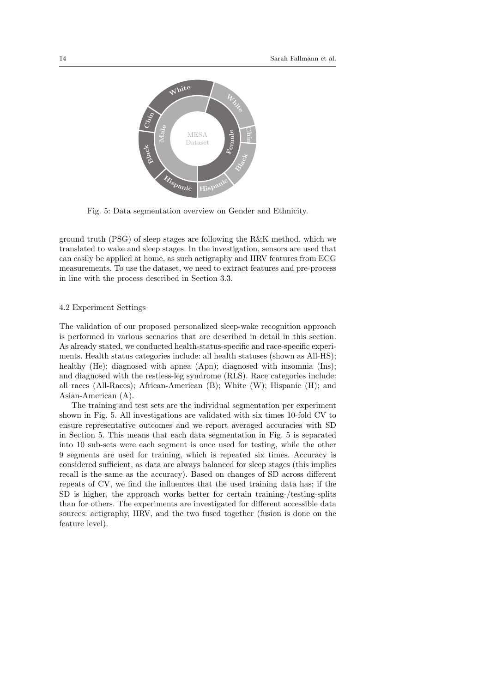

Fig. 5: Data segmentation overview on Gender and Ethnicity.

ground truth (PSG) of sleep stages are following the R&K method, which we translated to wake and sleep stages. In the investigation, sensors are used that can easily be applied at home, as such actigraphy and HRV features from ECG measurements. To use the dataset, we need to extract features and pre-process in line with the process described in Section 3.3.

# 4.2 Experiment Settings

The validation of our proposed personalized sleep-wake recognition approach is performed in various scenarios that are described in detail in this section. As already stated, we conducted health-status-specific and race-specific experiments. Health status categories include: all health statuses (shown as All-HS); healthy (He); diagnosed with apnea (Apn); diagnosed with insomnia (Ins); and diagnosed with the restless-leg syndrome (RLS). Race categories include: all races (All-Races); African-American (B); White (W); Hispanic (H); and Asian-American (A).

The training and test sets are the individual segmentation per experiment shown in Fig. 5. All investigations are validated with six times 10-fold CV to ensure representative outcomes and we report averaged accuracies with SD in Section 5. This means that each data segmentation in Fig. 5 is separated into 10 sub-sets were each segment is once used for testing, while the other 9 segments are used for training, which is repeated six times. Accuracy is considered sufficient, as data are always balanced for sleep stages (this implies recall is the same as the accuracy). Based on changes of SD across different repeats of CV, we find the influences that the used training data has; if the SD is higher, the approach works better for certain training-/testing-splits than for others. The experiments are investigated for different accessible data sources: actigraphy, HRV, and the two fused together (fusion is done on the feature level).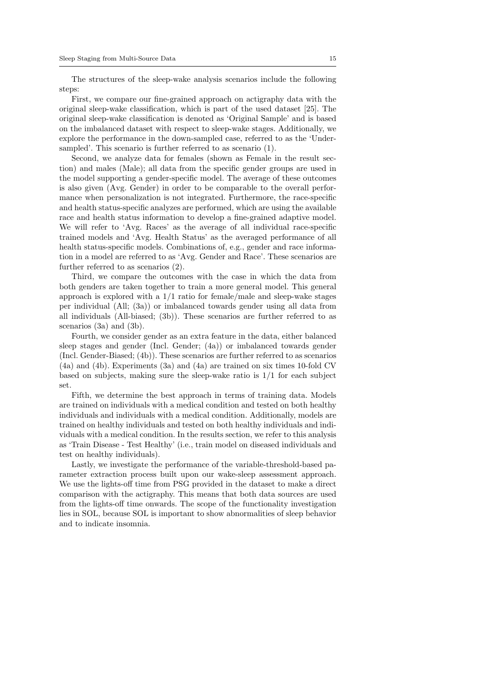The structures of the sleep-wake analysis scenarios include the following steps:

First, we compare our fine-grained approach on actigraphy data with the original sleep-wake classification, which is part of the used dataset [25]. The original sleep-wake classification is denoted as 'Original Sample' and is based on the imbalanced dataset with respect to sleep-wake stages. Additionally, we explore the performance in the down-sampled case, referred to as the 'Undersampled'. This scenario is further referred to as scenario (1).

Second, we analyze data for females (shown as Female in the result section) and males (Male); all data from the specific gender groups are used in the model supporting a gender-specific model. The average of these outcomes is also given (Avg. Gender) in order to be comparable to the overall performance when personalization is not integrated. Furthermore, the race-specific and health status-specific analyzes are performed, which are using the available race and health status information to develop a fine-grained adaptive model. We will refer to 'Avg. Races' as the average of all individual race-specific trained models and 'Avg. Health Status' as the averaged performance of all health status-specific models. Combinations of, e.g., gender and race information in a model are referred to as 'Avg. Gender and Race'. These scenarios are further referred to as scenarios (2).

Third, we compare the outcomes with the case in which the data from both genders are taken together to train a more general model. This general approach is explored with a  $1/1$  ratio for female/male and sleep-wake stages per individual (All; (3a)) or imbalanced towards gender using all data from all individuals (All-biased; (3b)). These scenarios are further referred to as scenarios (3a) and (3b).

Fourth, we consider gender as an extra feature in the data, either balanced sleep stages and gender (Incl. Gender; (4a)) or imbalanced towards gender (Incl. Gender-Biased; (4b)). These scenarios are further referred to as scenarios (4a) and (4b). Experiments (3a) and (4a) are trained on six times 10-fold CV based on subjects, making sure the sleep-wake ratio is  $1/1$  for each subject set.

Fifth, we determine the best approach in terms of training data. Models are trained on individuals with a medical condition and tested on both healthy individuals and individuals with a medical condition. Additionally, models are trained on healthy individuals and tested on both healthy individuals and individuals with a medical condition. In the results section, we refer to this analysis as 'Train Disease - Test Healthy' (i.e., train model on diseased individuals and test on healthy individuals).

Lastly, we investigate the performance of the variable-threshold-based parameter extraction process built upon our wake-sleep assessment approach. We use the lights-off time from PSG provided in the dataset to make a direct comparison with the actigraphy. This means that both data sources are used from the lights-off time onwards. The scope of the functionality investigation lies in SOL, because SOL is important to show abnormalities of sleep behavior and to indicate insomnia.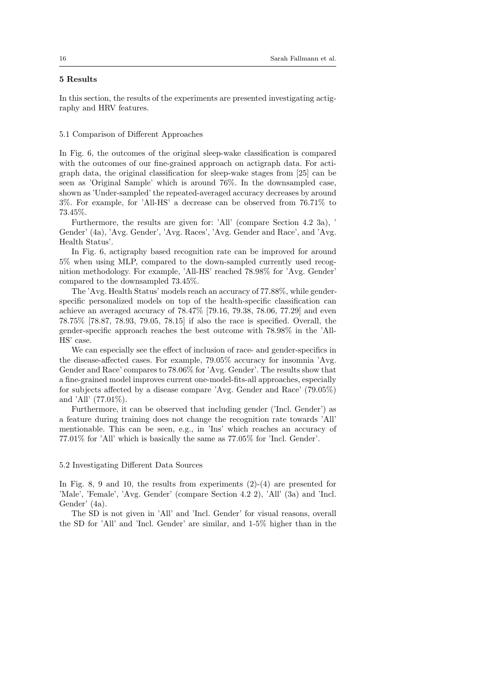# 5 Results

In this section, the results of the experiments are presented investigating actigraphy and HRV features.

# 5.1 Comparison of Different Approaches

In Fig. 6, the outcomes of the original sleep-wake classification is compared with the outcomes of our fine-grained approach on actigraph data. For actigraph data, the original classification for sleep-wake stages from [25] can be seen as 'Original Sample' which is around 76%. In the downsampled case, shown as 'Under-sampled' the repeated-averaged accuracy decreases by around 3%. For example, for 'All-HS' a decrease can be observed from 76.71% to 73.45%.

Furthermore, the results are given for: 'All' (compare Section 4.2 3a), ' Gender' (4a), 'Avg. Gender', 'Avg. Races', 'Avg. Gender and Race', and 'Avg. Health Status'.

In Fig. 6, actigraphy based recognition rate can be improved for around 5% when using MLP, compared to the down-sampled currently used recognition methodology. For example, 'All-HS' reached 78.98% for 'Avg. Gender' compared to the downsampled 73.45%.

The 'Avg. Health Status' models reach an accuracy of 77.88%, while genderspecific personalized models on top of the health-specific classification can achieve an averaged accuracy of 78.47% [79.16, 79.38, 78.06, 77.29] and even 78.75% [78.87, 78.93, 79.05, 78.15] if also the race is specified. Overall, the gender-specific approach reaches the best outcome with 78.98% in the 'All-HS' case.

We can especially see the effect of inclusion of race- and gender-specifics in the disease-affected cases. For example, 79.05% accuracy for insomnia 'Avg. Gender and Race' compares to 78.06% for 'Avg. Gender'. The results show that a fine-grained model improves current one-model-fits-all approaches, especially for subjects affected by a disease compare 'Avg. Gender and Race' (79.05%) and 'All' (77.01%).

Furthermore, it can be observed that including gender ('Incl. Gender') as a feature during training does not change the recognition rate towards 'All' mentionable. This can be seen, e.g., in 'Ins' which reaches an accuracy of 77.01% for 'All' which is basically the same as 77.05% for 'Incl. Gender'.

# 5.2 Investigating Different Data Sources

In Fig. 8, 9 and 10, the results from experiments  $(2)-(4)$  are presented for 'Male', 'Female', 'Avg. Gender' (compare Section 4.2 2), 'All' (3a) and 'Incl. Gender' (4a).

The SD is not given in 'All' and 'Incl. Gender' for visual reasons, overall the SD for 'All' and 'Incl. Gender' are similar, and 1-5% higher than in the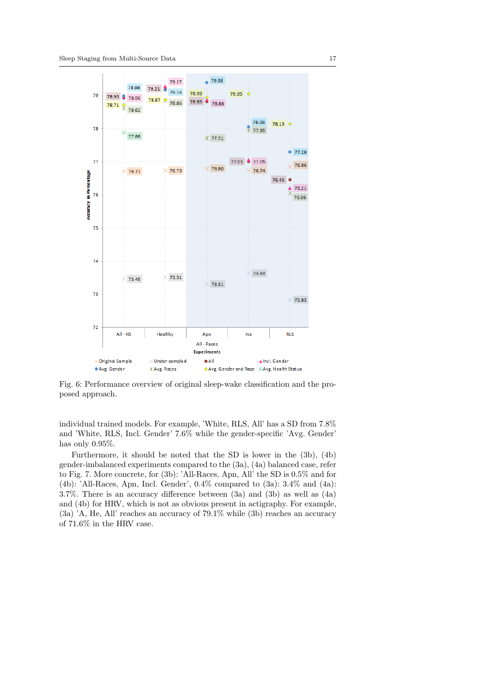

Fig. 6: Performance overview of original sleep-wake classification and the proposed approach.

individual trained models. For example, 'White, RLS, All' has a SD from 7.8% and 'White, RLS, Incl. Gender' 7.6% while the gender-specific 'Avg. Gender' has only 0.95%.

Furthermore, it should be noted that the SD is lower in the (3b), (4b) gender-imbalanced experiments compared to the (3a), (4a) balanced case, refer to Fig. 7. More concrete, for (3b): 'All-Races, Apn, All' the SD is 0.5% and for (4b): 'All-Races, Apn, Incl. Gender',  $0.4\%$  compared to  $(3a)$ :  $3.4\%$  and  $(4a)$ : 3.7%. There is an accuracy difference between (3a) and (3b) as well as (4a) and (4b) for HRV, which is not as obvious present in actigraphy. For example, (3a) 'A, He, All' reaches an accuracy of 79.1% while (3b) reaches an accuracy of 71.6% in the HRV case.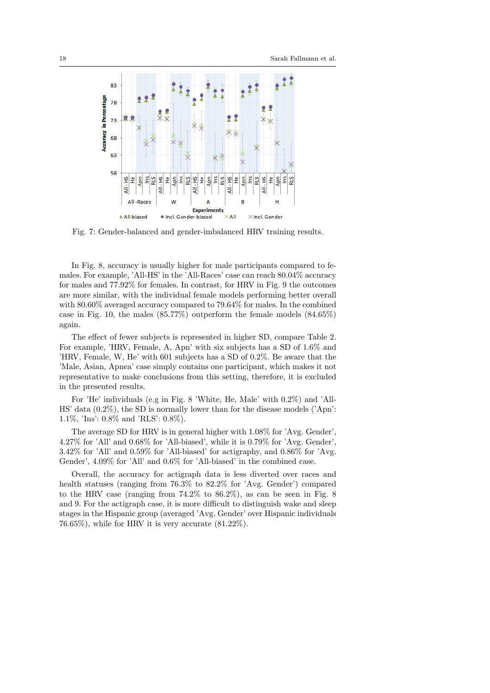

Fig. 7: Gender-balanced and gender-imbalanced HRV training results.

In Fig. 8, accuracy is usually higher for male participants compared to females. For example, 'All-HS' in the 'All-Races' case can reach 80.04% accuracy for males and 77.92% for females. In contrast, for HRV in Fig. 9 the outcomes are more similar, with the individual female models performing better overall with 80.60% averaged accuracy compared to 79.64% for males. In the combined case in Fig. 10, the males (85.77%) outperform the female models (84.65%) again.

The effect of fewer subjects is represented in higher SD, compare Table 2. For example, 'HRV, Female, A, Apn' with six subjects has a SD of 1.6% and 'HRV, Female, W, He' with 601 subjects has a SD of 0.2%. Be aware that the 'Male, Asian, Apnea' case simply contains one participant, which makes it not representative to make conclusions from this setting, therefore, it is excluded in the presented results.

For 'He' individuals (e.g in Fig. 8 'White, He, Male' with 0.2%) and 'All-HS' data (0.2%), the SD is normally lower than for the disease models ('Apn': 1.1%, 'Ins': 0.8% and 'RLS': 0.8%).

The average SD for HRV is in general higher with 1.08% for 'Avg. Gender', 4.27% for 'All' and 0.68% for 'All-biased', while it is 0.79% for 'Avg. Gender', 3.42% for 'All' and 0.59% for 'All-biased' for actigraphy, and 0.86% for 'Avg. Gender', 4.09% for 'All' and 0.6% for 'All-biased' in the combined case.

Overall, the accuracy for actigraph data is less diverted over races and health statuses (ranging from 76.3% to 82.2% for 'Avg. Gender') compared to the HRV case (ranging from 74.2% to 86.2%), as can be seen in Fig. 8 and 9. For the actigraph case, it is more difficult to distinguish wake and sleep stages in the Hispanic group (averaged 'Avg. Gender' over Hispanic individuals 76.65%), while for HRV it is very accurate (81.22%).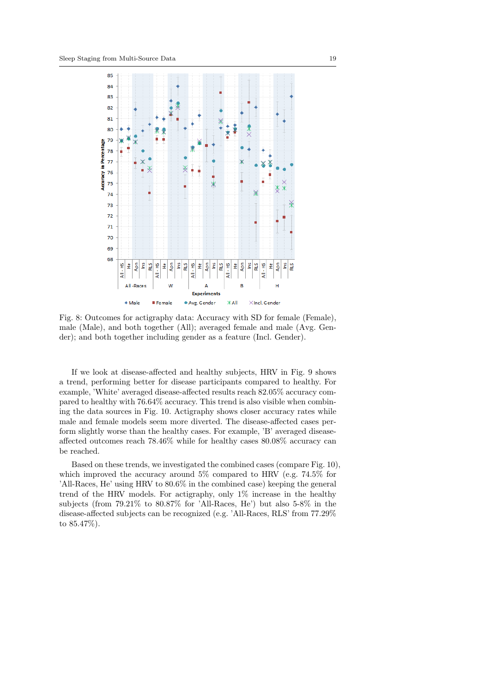

Fig. 8: Outcomes for actigraphy data: Accuracy with SD for female (Female), male (Male), and both together (All); averaged female and male (Avg. Gender); and both together including gender as a feature (Incl. Gender).

If we look at disease-affected and healthy subjects, HRV in Fig. 9 shows a trend, performing better for disease participants compared to healthy. For example, 'White' averaged disease-affected results reach 82.05% accuracy compared to healthy with 76.64% accuracy. This trend is also visible when combining the data sources in Fig. 10. Actigraphy shows closer accuracy rates while male and female models seem more diverted. The disease-affected cases perform slightly worse than the healthy cases. For example, 'B' averaged diseaseaffected outcomes reach 78.46% while for healthy cases 80.08% accuracy can be reached.

Based on these trends, we investigated the combined cases (compare Fig. 10), which improved the accuracy around 5% compared to HRV (e.g. 74.5% for 'All-Races, He' using HRV to 80.6% in the combined case) keeping the general trend of the HRV models. For actigraphy, only 1% increase in the healthy subjects (from 79.21% to 80.87% for 'All-Races, He') but also 5-8% in the disease-affected subjects can be recognized (e.g. 'All-Races, RLS' from 77.29% to 85.47%).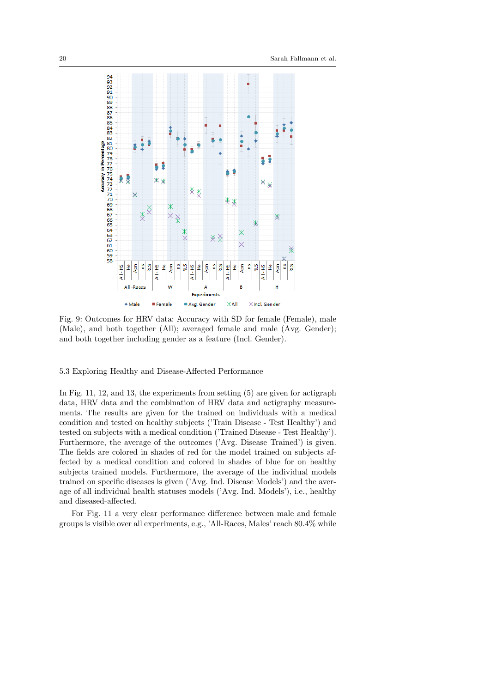

Fig. 9: Outcomes for HRV data: Accuracy with SD for female (Female), male (Male), and both together (All); averaged female and male (Avg. Gender); and both together including gender as a feature (Incl. Gender).

5.3 Exploring Healthy and Disease-Affected Performance

In Fig. 11, 12, and 13, the experiments from setting (5) are given for actigraph data, HRV data and the combination of HRV data and actigraphy measurements. The results are given for the trained on individuals with a medical condition and tested on healthy subjects ('Train Disease - Test Healthy') and tested on subjects with a medical condition ('Trained Disease - Test Healthy'). Furthermore, the average of the outcomes ('Avg. Disease Trained') is given. The fields are colored in shades of red for the model trained on subjects affected by a medical condition and colored in shades of blue for on healthy subjects trained models. Furthermore, the average of the individual models trained on specific diseases is given ('Avg. Ind. Disease Models') and the average of all individual health statuses models ('Avg. Ind. Models'), i.e., healthy and diseased-affected.

For Fig. 11 a very clear performance difference between male and female groups is visible over all experiments, e.g., 'All-Races, Males' reach 80.4% while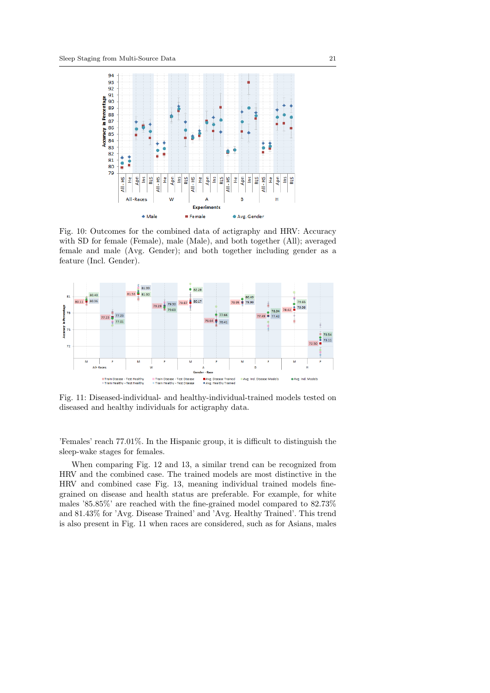

Fig. 10: Outcomes for the combined data of actigraphy and HRV: Accuracy with SD for female (Female), male (Male), and both together (All); averaged female and male (Avg. Gender); and both together including gender as a feature (Incl. Gender).



Fig. 11: Diseased-individual- and healthy-individual-trained models tested on diseased and healthy individuals for actigraphy data.

'Females' reach 77.01%. In the Hispanic group, it is difficult to distinguish the sleep-wake stages for females.

When comparing Fig. 12 and 13, a similar trend can be recognized from HRV and the combined case. The trained models are most distinctive in the HRV and combined case Fig. 13, meaning individual trained models finegrained on disease and health status are preferable. For example, for white males '85.85%' are reached with the fine-grained model compared to 82.73% and 81.43% for 'Avg. Disease Trained' and 'Avg. Healthy Trained'. This trend is also present in Fig. 11 when races are considered, such as for Asians, males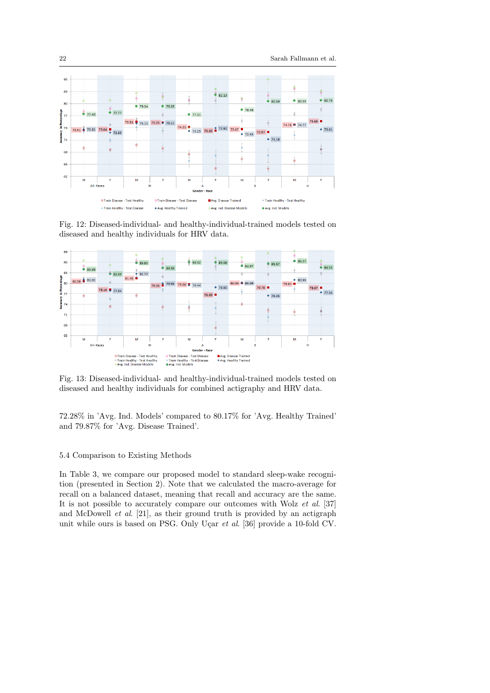

Fig. 12: Diseased-individual- and healthy-individual-trained models tested on diseased and healthy individuals for HRV data.



Fig. 13: Diseased-individual- and healthy-individual-trained models tested on diseased and healthy individuals for combined actigraphy and HRV data.

72.28% in 'Avg. Ind. Models' compared to 80.17% for 'Avg. Healthy Trained' and 79.87% for 'Avg. Disease Trained'.

# 5.4 Comparison to Existing Methods

In Table 3, we compare our proposed model to standard sleep-wake recognition (presented in Section 2). Note that we calculated the macro-average for recall on a balanced dataset, meaning that recall and accuracy are the same. It is not possible to accurately compare our outcomes with Wolz et al. [37] and McDowell  $et \ al.$  [21], as their ground truth is provided by an actigraph unit while ours is based on PSG. Only Uçar  $et$  al. [36] provide a 10-fold CV.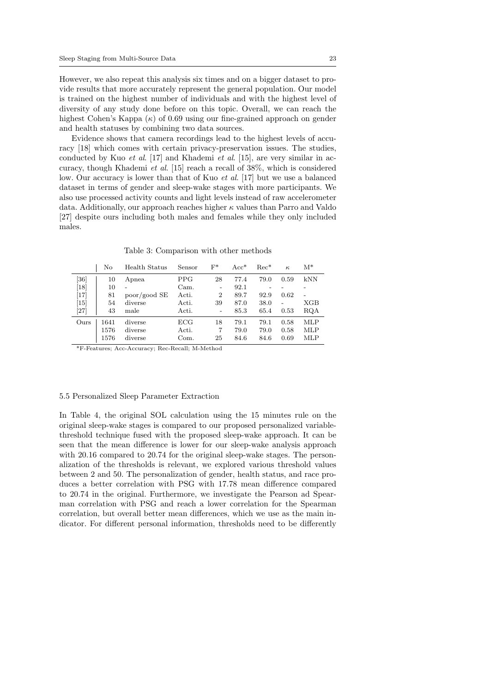However, we also repeat this analysis six times and on a bigger dataset to provide results that more accurately represent the general population. Our model is trained on the highest number of individuals and with the highest level of diversity of any study done before on this topic. Overall, we can reach the highest Cohen's Kappa  $(\kappa)$  of 0.69 using our fine-grained approach on gender and health statuses by combining two data sources.

Evidence shows that camera recordings lead to the highest levels of accuracy [18] which comes with certain privacy-preservation issues. The studies, conducted by Kuo et al. [17] and Khademi et al. [15], are very similar in accuracy, though Khademi et al. [15] reach a recall of 38%, which is considered low. Our accuracy is lower than that of Kuo et al. [17] but we use a balanced dataset in terms of gender and sleep-wake stages with more participants. We also use processed activity counts and light levels instead of raw accelerometer data. Additionally, our approach reaches higher  $\kappa$  values than Parro and Valdo [27] despite ours including both males and females while they only included males.

Table 3: Comparison with other methods

|                    | No   | Health Status | Sensor | $F^*$                    | $Acc*$ | $Rec^*$ | $\kappa$ | $M^*$ |
|--------------------|------|---------------|--------|--------------------------|--------|---------|----------|-------|
| $^{\prime}36]$     | 10   | Apnea         | PPG    | 28                       | 77.4   | 79.0    | 0.59     | kNN   |
| $\lceil 18 \rceil$ | 10   | -             | Cam.   | $\overline{\phantom{a}}$ | 92.1   |         |          |       |
| $\left[17\right]$  | 81   | poor/good SE  | Acti.  | $\overline{2}$           | 89.7   | 92.9    | 0.62     |       |
| $\lceil 15 \rceil$ | 54   | diverse       | Acti.  | 39                       | 87.0   | 38.0    |          | XGB   |
| $\left[ 27\right]$ | 43   | male          | Acti.  | $\overline{\phantom{0}}$ | 85.3   | 65.4    | 0.53     | RQA   |
| Ours               | 1641 | diverse       | ECG    | 18                       | 79.1   | 79.1    | 0.58     | MLP   |
|                    | 1576 | diverse       | Acti.  | 7                        | 79.0   | 79.0    | 0.58     | MLP   |
|                    | 1576 | diverse       | Com.   | 25                       | 84.6   | 84.6    | 0.69     | MLP   |

\*F-Features; Acc-Accuracy; Rec-Recall; M-Method

#### 5.5 Personalized Sleep Parameter Extraction

In Table 4, the original SOL calculation using the 15 minutes rule on the original sleep-wake stages is compared to our proposed personalized variablethreshold technique fused with the proposed sleep-wake approach. It can be seen that the mean difference is lower for our sleep-wake analysis approach with 20.16 compared to 20.74 for the original sleep-wake stages. The personalization of the thresholds is relevant, we explored various threshold values between 2 and 50. The personalization of gender, health status, and race produces a better correlation with PSG with 17.78 mean difference compared to 20.74 in the original. Furthermore, we investigate the Pearson ad Spearman correlation with PSG and reach a lower correlation for the Spearman correlation, but overall better mean differences, which we use as the main indicator. For different personal information, thresholds need to be differently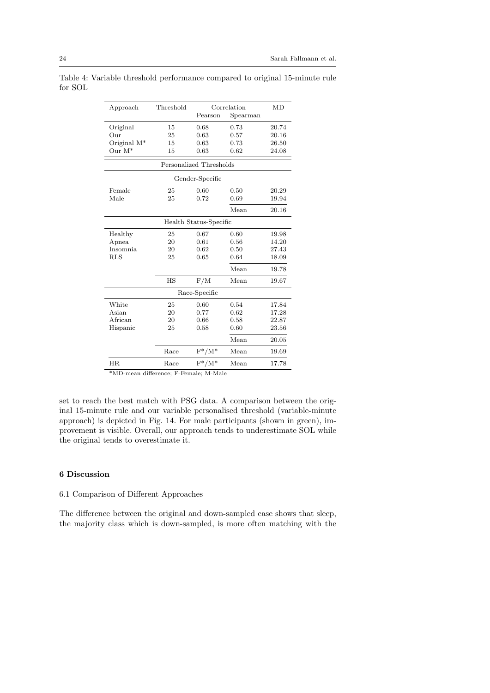| Approach        | Threshold               | Correlation                 |          | MD    |  |  |  |
|-----------------|-------------------------|-----------------------------|----------|-------|--|--|--|
|                 |                         | Pearson                     | Spearman |       |  |  |  |
| Original        | 15                      | 0.68                        | 0.73     | 20.74 |  |  |  |
| Our             | 25                      | 0.63                        | 0.57     | 20.16 |  |  |  |
| Original $M^*$  | 15                      | 0.63                        | 0.73     | 26.50 |  |  |  |
| Our $M^*$       | 15                      | 0.63                        | 0.62     | 24.08 |  |  |  |
|                 | Personalized Thresholds |                             |          |       |  |  |  |
| Gender-Specific |                         |                             |          |       |  |  |  |
| Female          | 25                      | 0.60                        | 0.50     | 20.29 |  |  |  |
| Male            | 25                      | 0.72                        | 0.69     | 19.94 |  |  |  |
|                 |                         |                             | Mean     | 20.16 |  |  |  |
|                 |                         | Health Status-Specific      |          |       |  |  |  |
| Healthy         | 25                      | 0.67                        | 0.60     | 19.98 |  |  |  |
| Apnea           | 20                      | 0.61                        | 0.56     | 14.20 |  |  |  |
| <b>Insomnia</b> | 20                      | 0.62                        | 0.50     | 27.43 |  |  |  |
| <b>RLS</b>      | 25                      | 0.65                        | 0.64     | 18.09 |  |  |  |
|                 |                         |                             | Mean     | 19.78 |  |  |  |
|                 | <b>HS</b>               | F/M                         | Mean     | 19.67 |  |  |  |
| Race-Specific   |                         |                             |          |       |  |  |  |
| White           | 25                      | 0.60                        | 0.54     | 17.84 |  |  |  |
| Asian           | 20                      | 0.77                        | 0.62     | 17.28 |  |  |  |
| African         | 20                      | 0.66                        | 0.58     | 22.87 |  |  |  |
| Hispanic        | 25                      | 0.58                        | 0.60     | 23.56 |  |  |  |
|                 |                         |                             | Mean     | 20.05 |  |  |  |
|                 | Race                    | $F^*/M^*$                   | Mean     | 19.69 |  |  |  |
| <b>HR</b>       | Race                    | $\mathrm{F}^*/\mathrm{M}^*$ | Mean     | 17.78 |  |  |  |

Table 4: Variable threshold performance compared to original 15-minute rule for SOL

\*MD-mean difference; F-Female; M-Male

set to reach the best match with PSG data. A comparison between the original 15-minute rule and our variable personalised threshold (variable-minute approach) is depicted in Fig. 14. For male participants (shown in green), improvement is visible. Overall, our approach tends to underestimate SOL while the original tends to overestimate it.

# 6 Discussion

# 6.1 Comparison of Different Approaches

The difference between the original and down-sampled case shows that sleep, the majority class which is down-sampled, is more often matching with the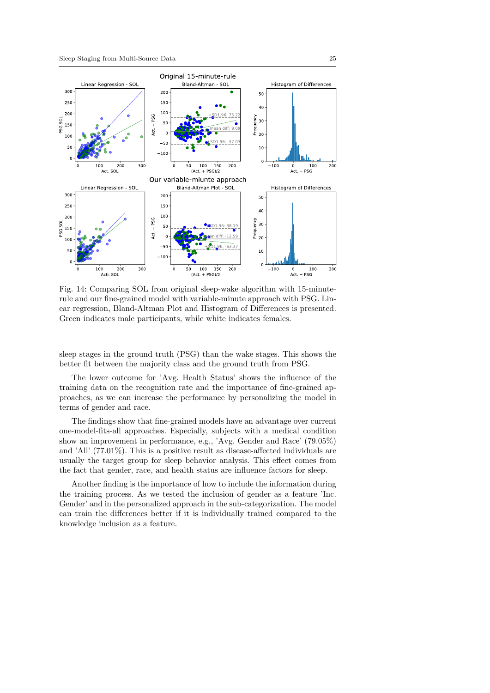

Fig. 14: Comparing SOL from original sleep-wake algorithm with 15-minuterule and our fine-grained model with variable-minute approach with PSG. Linear regression, Bland-Altman Plot and Histogram of Differences is presented. Green indicates male participants, while white indicates females.

sleep stages in the ground truth (PSG) than the wake stages. This shows the better fit between the majority class and the ground truth from PSG.

The lower outcome for 'Avg. Health Status' shows the influence of the training data on the recognition rate and the importance of fine-grained approaches, as we can increase the performance by personalizing the model in terms of gender and race.

The findings show that fine-grained models have an advantage over current one-model-fits-all approaches. Especially, subjects with a medical condition show an improvement in performance, e.g., 'Avg. Gender and Race' (79.05%) and 'All' (77.01%). This is a positive result as disease-affected individuals are usually the target group for sleep behavior analysis. This effect comes from the fact that gender, race, and health status are influence factors for sleep.

Another finding is the importance of how to include the information during the training process. As we tested the inclusion of gender as a feature 'Inc. Gender' and in the personalized approach in the sub-categorization. The model can train the differences better if it is individually trained compared to the knowledge inclusion as a feature.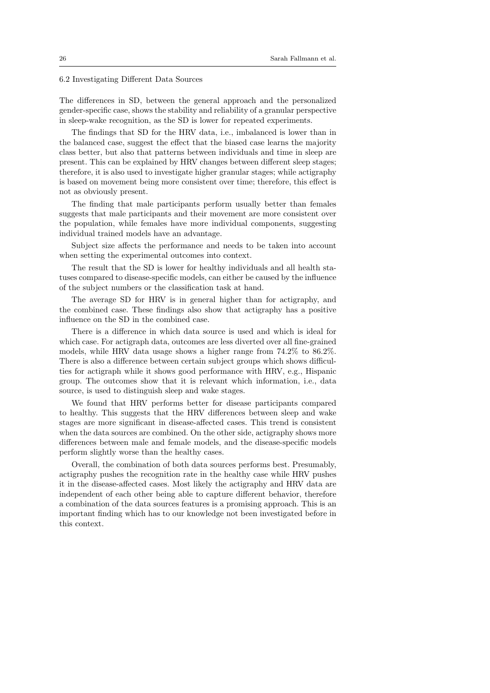6.2 Investigating Different Data Sources

The differences in SD, between the general approach and the personalized gender-specific case, shows the stability and reliability of a granular perspective in sleep-wake recognition, as the SD is lower for repeated experiments.

The findings that SD for the HRV data, i.e., imbalanced is lower than in the balanced case, suggest the effect that the biased case learns the majority class better, but also that patterns between individuals and time in sleep are present. This can be explained by HRV changes between different sleep stages; therefore, it is also used to investigate higher granular stages; while actigraphy is based on movement being more consistent over time; therefore, this effect is not as obviously present.

The finding that male participants perform usually better than females suggests that male participants and their movement are more consistent over the population, while females have more individual components, suggesting individual trained models have an advantage.

Subject size affects the performance and needs to be taken into account when setting the experimental outcomes into context.

The result that the SD is lower for healthy individuals and all health statuses compared to disease-specific models, can either be caused by the influence of the subject numbers or the classification task at hand.

The average SD for HRV is in general higher than for actigraphy, and the combined case. These findings also show that actigraphy has a positive influence on the SD in the combined case.

There is a difference in which data source is used and which is ideal for which case. For actigraph data, outcomes are less diverted over all fine-grained models, while HRV data usage shows a higher range from 74.2% to 86.2%. There is also a difference between certain subject groups which shows difficulties for actigraph while it shows good performance with HRV, e.g., Hispanic group. The outcomes show that it is relevant which information, i.e., data source, is used to distinguish sleep and wake stages.

We found that HRV performs better for disease participants compared to healthy. This suggests that the HRV differences between sleep and wake stages are more significant in disease-affected cases. This trend is consistent when the data sources are combined. On the other side, actigraphy shows more differences between male and female models, and the disease-specific models perform slightly worse than the healthy cases.

Overall, the combination of both data sources performs best. Presumably, actigraphy pushes the recognition rate in the healthy case while HRV pushes it in the disease-affected cases. Most likely the actigraphy and HRV data are independent of each other being able to capture different behavior, therefore a combination of the data sources features is a promising approach. This is an important finding which has to our knowledge not been investigated before in this context.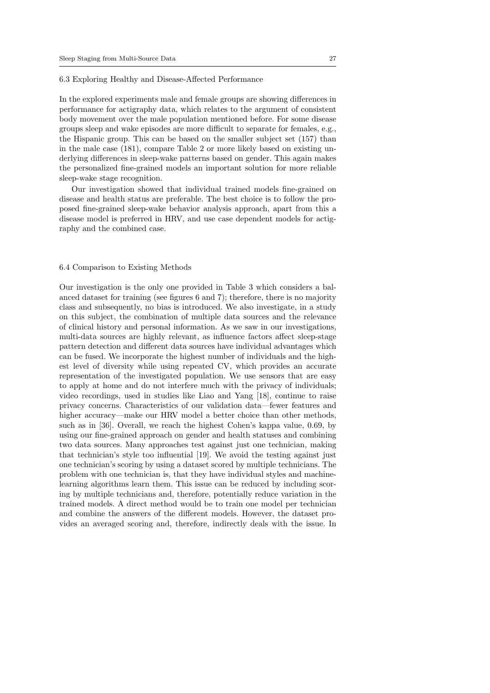# 6.3 Exploring Healthy and Disease-Affected Performance

In the explored experiments male and female groups are showing differences in performance for actigraphy data, which relates to the argument of consistent body movement over the male population mentioned before. For some disease groups sleep and wake episodes are more difficult to separate for females, e.g., the Hispanic group. This can be based on the smaller subject set (157) than in the male case (181), compare Table 2 or more likely based on existing underlying differences in sleep-wake patterns based on gender. This again makes the personalized fine-grained models an important solution for more reliable sleep-wake stage recognition.

Our investigation showed that individual trained models fine-grained on disease and health status are preferable. The best choice is to follow the proposed fine-grained sleep-wake behavior analysis approach, apart from this a disease model is preferred in HRV, and use case dependent models for actigraphy and the combined case.

#### 6.4 Comparison to Existing Methods

Our investigation is the only one provided in Table 3 which considers a balanced dataset for training (see figures 6 and 7); therefore, there is no majority class and subsequently, no bias is introduced. We also investigate, in a study on this subject, the combination of multiple data sources and the relevance of clinical history and personal information. As we saw in our investigations, multi-data sources are highly relevant, as influence factors affect sleep-stage pattern detection and different data sources have individual advantages which can be fused. We incorporate the highest number of individuals and the highest level of diversity while using repeated CV, which provides an accurate representation of the investigated population. We use sensors that are easy to apply at home and do not interfere much with the privacy of individuals; video recordings, used in studies like Liao and Yang [18], continue to raise privacy concerns. Characteristics of our validation data—fewer features and higher accuracy—make our HRV model a better choice than other methods, such as in [36]. Overall, we reach the highest Cohen's kappa value, 0.69, by using our fine-grained approach on gender and health statuses and combining two data sources. Many approaches test against just one technician, making that technician's style too influential [19]. We avoid the testing against just one technician's scoring by using a dataset scored by multiple technicians. The problem with one technician is, that they have individual styles and machinelearning algorithms learn them. This issue can be reduced by including scoring by multiple technicians and, therefore, potentially reduce variation in the trained models. A direct method would be to train one model per technician and combine the answers of the different models. However, the dataset provides an averaged scoring and, therefore, indirectly deals with the issue. In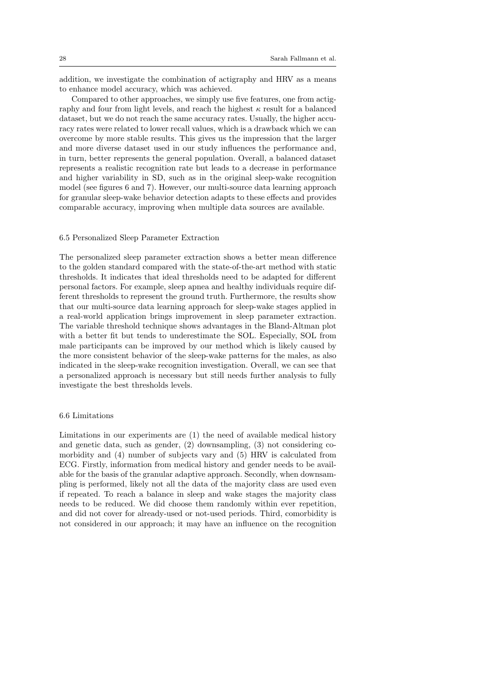addition, we investigate the combination of actigraphy and HRV as a means to enhance model accuracy, which was achieved.

Compared to other approaches, we simply use five features, one from actigraphy and four from light levels, and reach the highest  $\kappa$  result for a balanced dataset, but we do not reach the same accuracy rates. Usually, the higher accuracy rates were related to lower recall values, which is a drawback which we can overcome by more stable results. This gives us the impression that the larger and more diverse dataset used in our study influences the performance and, in turn, better represents the general population. Overall, a balanced dataset represents a realistic recognition rate but leads to a decrease in performance and higher variability in SD, such as in the original sleep-wake recognition model (see figures 6 and 7). However, our multi-source data learning approach for granular sleep-wake behavior detection adapts to these effects and provides comparable accuracy, improving when multiple data sources are available.

# 6.5 Personalized Sleep Parameter Extraction

The personalized sleep parameter extraction shows a better mean difference to the golden standard compared with the state-of-the-art method with static thresholds. It indicates that ideal thresholds need to be adapted for different personal factors. For example, sleep apnea and healthy individuals require different thresholds to represent the ground truth. Furthermore, the results show that our multi-source data learning approach for sleep-wake stages applied in a real-world application brings improvement in sleep parameter extraction. The variable threshold technique shows advantages in the Bland-Altman plot with a better fit but tends to underestimate the SOL. Especially, SOL from male participants can be improved by our method which is likely caused by the more consistent behavior of the sleep-wake patterns for the males, as also indicated in the sleep-wake recognition investigation. Overall, we can see that a personalized approach is necessary but still needs further analysis to fully investigate the best thresholds levels.

#### 6.6 Limitations

Limitations in our experiments are (1) the need of available medical history and genetic data, such as gender, (2) downsampling, (3) not considering comorbidity and (4) number of subjects vary and (5) HRV is calculated from ECG. Firstly, information from medical history and gender needs to be available for the basis of the granular adaptive approach. Secondly, when downsampling is performed, likely not all the data of the majority class are used even if repeated. To reach a balance in sleep and wake stages the majority class needs to be reduced. We did choose them randomly within ever repetition, and did not cover for already-used or not-used periods. Third, comorbidity is not considered in our approach; it may have an influence on the recognition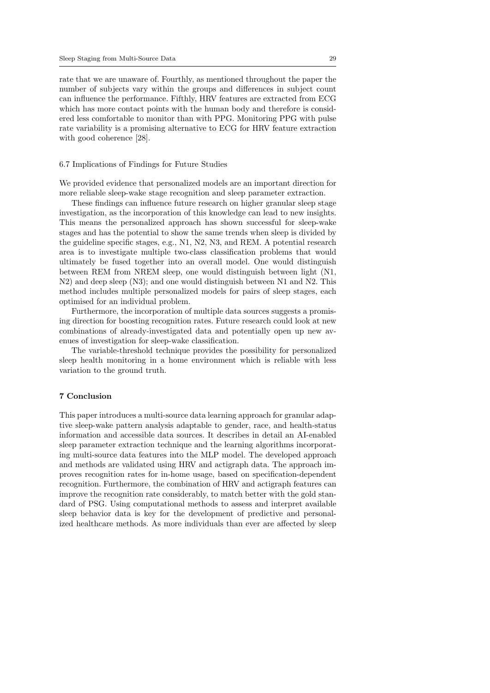rate that we are unaware of. Fourthly, as mentioned throughout the paper the number of subjects vary within the groups and differences in subject count can influence the performance. Fifthly, HRV features are extracted from ECG which has more contact points with the human body and therefore is considered less comfortable to monitor than with PPG. Monitoring PPG with pulse rate variability is a promising alternative to ECG for HRV feature extraction with good coherence [28].

# 6.7 Implications of Findings for Future Studies

We provided evidence that personalized models are an important direction for more reliable sleep-wake stage recognition and sleep parameter extraction.

These findings can influence future research on higher granular sleep stage investigation, as the incorporation of this knowledge can lead to new insights. This means the personalized approach has shown successful for sleep-wake stages and has the potential to show the same trends when sleep is divided by the guideline specific stages, e.g., N1, N2, N3, and REM. A potential research area is to investigate multiple two-class classification problems that would ultimately be fused together into an overall model. One would distinguish between REM from NREM sleep, one would distinguish between light (N1, N2) and deep sleep (N3); and one would distinguish between N1 and N2. This method includes multiple personalized models for pairs of sleep stages, each optimised for an individual problem.

Furthermore, the incorporation of multiple data sources suggests a promising direction for boosting recognition rates. Future research could look at new combinations of already-investigated data and potentially open up new avenues of investigation for sleep-wake classification.

The variable-threshold technique provides the possibility for personalized sleep health monitoring in a home environment which is reliable with less variation to the ground truth.

### 7 Conclusion

This paper introduces a multi-source data learning approach for granular adaptive sleep-wake pattern analysis adaptable to gender, race, and health-status information and accessible data sources. It describes in detail an AI-enabled sleep parameter extraction technique and the learning algorithms incorporating multi-source data features into the MLP model. The developed approach and methods are validated using HRV and actigraph data. The approach improves recognition rates for in-home usage, based on specification-dependent recognition. Furthermore, the combination of HRV and actigraph features can improve the recognition rate considerably, to match better with the gold standard of PSG. Using computational methods to assess and interpret available sleep behavior data is key for the development of predictive and personalized healthcare methods. As more individuals than ever are affected by sleep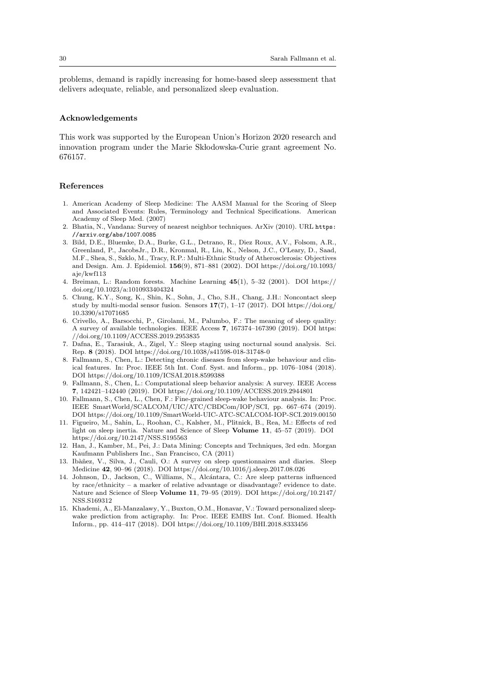problems, demand is rapidly increasing for home-based sleep assessment that delivers adequate, reliable, and personalized sleep evaluation.

# Acknowledgements

This work was supported by the European Union's Horizon 2020 research and innovation program under the Marie Skłodowska-Curie grant agreement No. 676157.

#### References

- 1. American Academy of Sleep Medicine: The AASM Manual for the Scoring of Sleep and Associated Events: Rules, Terminology and Technical Specifications. American Academy of Sleep Med. (2007)
- 2. Bhatia, N., Vandana: Survey of nearest neighbor techniques. ArXiv (2010). URL https: //arxiv.org/abs/1007.0085
- 3. Bild, D.E., Bluemke, D.A., Burke, G.L., Detrano, R., Diez Roux, A.V., Folsom, A.R., Greenland, P., JacobsJr., D.R., Kronmal, R., Liu, K., Nelson, J.C., O'Leary, D., Saad, M.F., Shea, S., Szklo, M., Tracy, R.P.: Multi-Ethnic Study of Atherosclerosis: Objectives and Design. Am. J. Epidemiol. 156(9), 871–881 (2002). DOI https://doi.org/10.1093/ aje/kwf113
- 4. Breiman, L.: Random forests. Machine Learning 45(1), 5–32 (2001). DOI https:// doi.org/10.1023/a:1010933404324
- 5. Chung, K.Y., Song, K., Shin, K., Sohn, J., Cho, S.H., Chang, J.H.: Noncontact sleep study by multi-modal sensor fusion. Sensors  $17(7)$ , 1–17 (2017). DOI https://doi.org/ 10.3390/s17071685
- 6. Crivello, A., Barsocchi, P., Girolami, M., Palumbo, F.: The meaning of sleep quality: A survey of available technologies. IEEE Access 7, 167374–167390 (2019). DOI https: //doi.org/10.1109/ACCESS.2019.2953835
- 7. Dafna, E., Tarasiuk, A., Zigel, Y.: Sleep staging using nocturnal sound analysis. Sci. Rep. 8 (2018). DOI https://doi.org/10.1038/s41598-018-31748-0
- 8. Fallmann, S., Chen, L.: Detecting chronic diseases from sleep-wake behaviour and clinical features. In: Proc. IEEE 5th Int. Conf. Syst. and Inform., pp. 1076–1084 (2018). DOI https://doi.org/10.1109/ICSAI.2018.8599388
- 9. Fallmann, S., Chen, L.: Computational sleep behavior analysis: A survey. IEEE Access 7, 142421–142440 (2019). DOI https://doi.org/10.1109/ACCESS.2019.2944801
- 10. Fallmann, S., Chen, L., Chen, F.: Fine-grained sleep-wake behaviour analysis. In: Proc. IEEE SmartWorld/SCALCOM/UIC/ATC/CBDCom/IOP/SCI, pp. 667–674 (2019). DOI https://doi.org/10.1109/SmartWorld-UIC-ATC-SCALCOM-IOP-SCI.2019.00150
- 11. Figueiro, M., Sahin, L., Roohan, C., Kalsher, M., Plitnick, B., Rea, M.: Effects of red light on sleep inertia. Nature and Science of Sleep Volume 11, 45–57 (2019). DOI https://doi.org/10.2147/NSS.S195563
- 12. Han, J., Kamber, M., Pei, J.: Data Mining: Concepts and Techniques, 3rd edn. Morgan Kaufmann Publishers Inc., San Francisco, CA (2011)
- 13. Ibàñez, V., Silva, J., Cauli, O.: A survey on sleep questionnaires and diaries. Sleep Medicine 42, 90–96 (2018). DOI https://doi.org/10.1016/j.sleep.2017.08.026
- 14. Johnson, D., Jackson, C., Williams, N., Alc´antara, C.: Are sleep patterns influenced by race/ethnicity – a marker of relative advantage or disadvantage? evidence to date. Nature and Science of Sleep Volume 11, 79–95 (2019). DOI https://doi.org/10.2147/ NSS.S169312
- 15. Khademi, A., El-Manzalawy, Y., Buxton, O.M., Honavar, V.: Toward personalized sleepwake prediction from actigraphy. In: Proc. IEEE EMBS Int. Conf. Biomed. Health Inform., pp. 414–417 (2018). DOI https://doi.org/10.1109/BHI.2018.8333456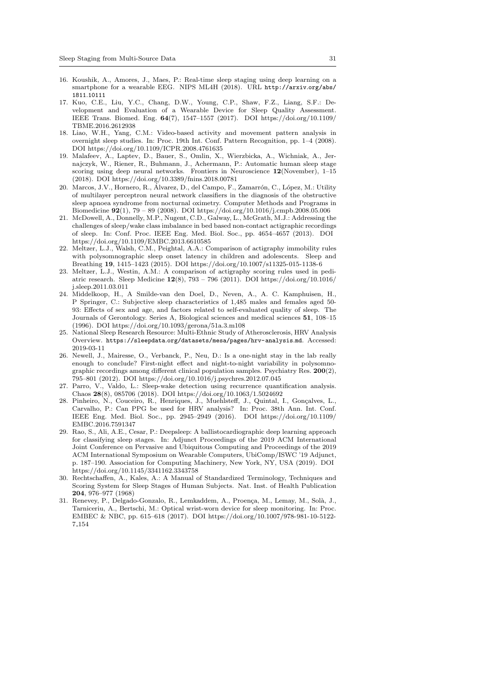- 16. Koushik, A., Amores, J., Maes, P.: Real-time sleep staging using deep learning on a smartphone for a wearable EEG. NIPS ML4H (2018). URL http://arxiv.org/abs/ 1811.10111
- 17. Kuo, C.E., Liu, Y.C., Chang, D.W., Young, C.P., Shaw, F.Z., Liang, S.F.: Development and Evaluation of a Wearable Device for Sleep Quality Assessment. IEEE Trans. Biomed. Eng. 64(7), 1547–1557 (2017). DOI https://doi.org/10.1109/ TBME.2016.2612938
- 18. Liao, W.H., Yang, C.M.: Video-based activity and movement pattern analysis in overnight sleep studies. In: Proc. 19th Int. Conf. Pattern Recognition, pp. 1–4 (2008). DOI https://doi.org/10.1109/ICPR.2008.4761635
- 19. Malafeev, A., Laptev, D., Bauer, S., Omlin, X., Wierzbicka, A., Wichniak, A., Jernajczyk, W., Riener, R., Buhmann, J., Achermann, P.: Automatic human sleep stage scoring using deep neural networks. Frontiers in Neuroscience  $12$ (November), 1–15 (2018). DOI https://doi.org/10.3389/fnins.2018.00781
- 20. Marcos, J.V., Hornero, R., Álvarez, D., del Campo, F., Zamarrón, C., López, M.: Utility of multilayer perceptron neural network classifiers in the diagnosis of the obstructive sleep apnoea syndrome from nocturnal oximetry. Computer Methods and Programs in Biomedicine 92(1), 79 – 89 (2008). DOI https://doi.org/10.1016/j.cmpb.2008.05.006
- 21. McDowell, A., Donnelly, M.P., Nugent, C.D., Galway, L., McGrath, M.J.: Addressing the challenges of sleep/wake class imbalance in bed based non-contact actigraphic recordings of sleep. In: Conf. Proc. IEEE Eng. Med. Biol. Soc., pp. 4654–4657 (2013). DOI https://doi.org/10.1109/EMBC.2013.6610585
- 22. Meltzer, L.J., Walsh, C.M., Peightal, A.A.: Comparison of actigraphy immobility rules with polysomnographic sleep onset latency in children and adolescents. Sleep and Breathing 19, 1415–1423 (2015). DOI https://doi.org/10.1007/s11325-015-1138-6
- 23. Meltzer, L.J., Westin, A.M.: A comparison of actigraphy scoring rules used in pediatric research. Sleep Medicine 12(8), 793 – 796 (2011). DOI https://doi.org/10.1016/ j.sleep.2011.03.011
- 24. Middelkoop, H., A Smilde-van den Doel, D., Neven, A., A. C. Kamphuisen, H., P Springer, C.: Subjective sleep characteristics of 1,485 males and females aged 50- 93: Effects of sex and age, and factors related to self-evaluated quality of sleep. The Journals of Gerontology. Series A, Biological sciences and medical sciences 51, 108–15 (1996). DOI https://doi.org/10.1093/gerona/51a.3.m108
- 25. National Sleep Research Resource: Multi-Ethnic Study of Atherosclerosis, HRV Analysis Overview. https://sleepdata.org/datasets/mesa/pages/hrv-analysis.md. Accessed: 2019-03-11
- 26. Newell, J., Mairesse, O., Verbanck, P., Neu, D.: Is a one-night stay in the lab really enough to conclude? First-night effect and night-to-night variability in polysomnographic recordings among different clinical population samples. Psychiatry Res. 200(2), 795–801 (2012). DOI https://doi.org/10.1016/j.psychres.2012.07.045
- 27. Parro, V., Valdo, L.: Sleep-wake detection using recurrence quantification analysis. Chaos 28(8), 085706 (2018). DOI https://doi.org/10.1063/1.5024692
- 28. Pinheiro, N., Couceiro, R., Henriques, J., Muehlsteff, J., Quintal, I., Gonçalves, L., Carvalho, P.: Can PPG be used for HRV analysis? In: Proc. 38th Ann. Int. Conf. IEEE Eng. Med. Biol. Soc., pp. 2945–2949 (2016). DOI https://doi.org/10.1109/ EMBC.2016.7591347
- 29. Rao, S., Ali, A.E., Cesar, P.: Deepsleep: A ballistocardiographic deep learning approach for classifying sleep stages. In: Adjunct Proceedings of the 2019 ACM International Joint Conference on Pervasive and Ubiquitous Computing and Proceedings of the 2019 ACM International Symposium on Wearable Computers, UbiComp/ISWC '19 Adjunct, p. 187–190. Association for Computing Machinery, New York, NY, USA (2019). DOI https://doi.org/10.1145/3341162.3343758
- 30. Rechtschaffen, A., Kales, A.: A Manual of Standardized Terminology, Techniques and Scoring System for Sleep Stages of Human Subjects. Nat. Inst. of Health Publication 204, 976–977 (1968)
- 31. Renevey, P., Delgado-Gonzalo, R., Lemkaddem, A., Proença, M., Lemay, M., Solà, J., Tarniceriu, A., Bertschi, M.: Optical wrist-worn device for sleep monitoring. In: Proc. EMBEC & NBC, pp. 615–618 (2017). DOI https://doi.org/10.1007/978-981-10-5122- 7 154